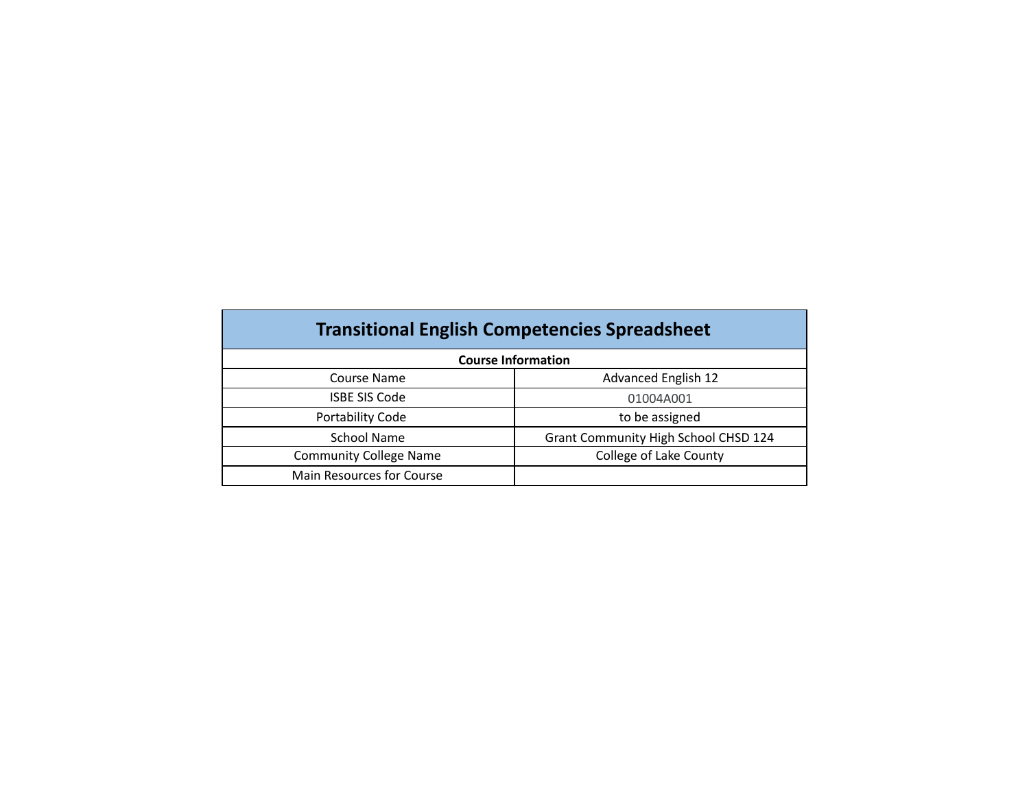| <b>Transitional English Competencies Spreadsheet</b> |                                      |  |  |  |
|------------------------------------------------------|--------------------------------------|--|--|--|
|                                                      | <b>Course Information</b>            |  |  |  |
| Course Name                                          | Advanced English 12                  |  |  |  |
| <b>ISBE SIS Code</b>                                 | 01004A001                            |  |  |  |
| Portability Code                                     | to be assigned                       |  |  |  |
| <b>School Name</b>                                   | Grant Community High School CHSD 124 |  |  |  |
| <b>Community College Name</b>                        | College of Lake County               |  |  |  |
| Main Resources for Course                            |                                      |  |  |  |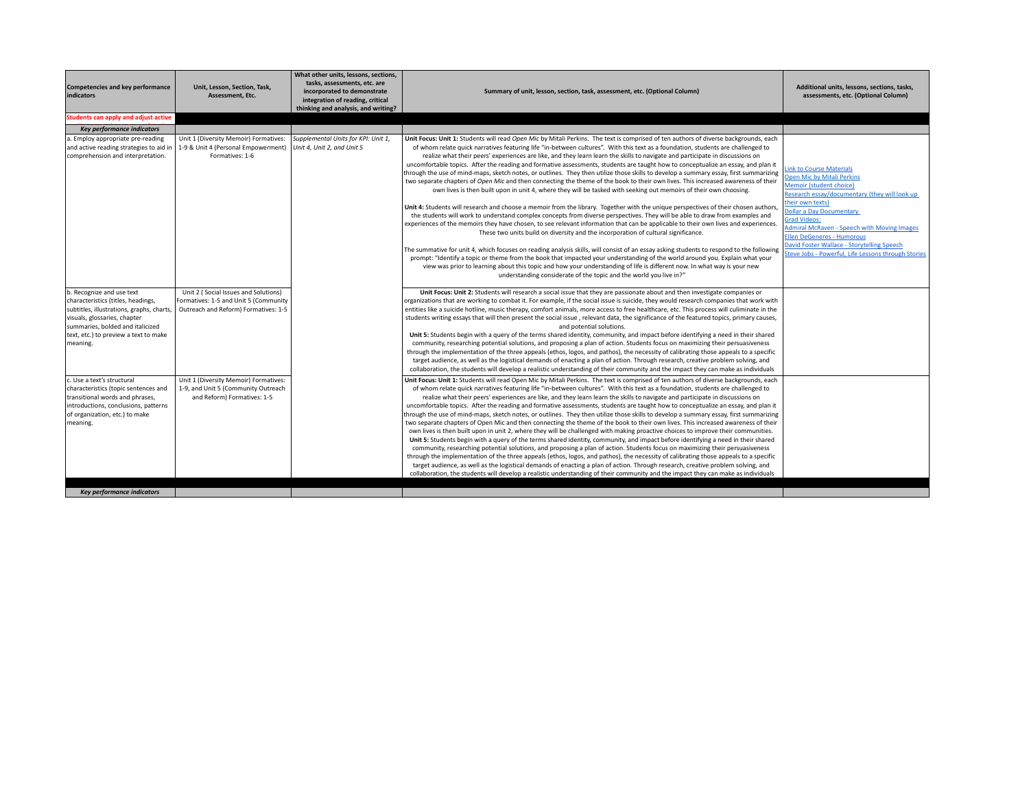| <b>Competencies and key performance</b><br>indicators                                                                                                                                                                                 | Unit, Lesson, Section, Task,<br>Assessment, Etc.                                                                      | What other units, lessons, sections,<br>tasks, assessments, etc. are<br>incorporated to demonstrate<br>integration of reading, critical<br>thinking and analysis, and writing? | Summary of unit, lesson, section, task, assessment, etc. (Optional Column)                                                                                                                                                                                                                                                                                                                                                                                                                                                                                                                                                                                                                                                                                                                                                                                                                                                                                                                                                                                                                                                                                                                                                                                                                                                                                                                                                                                                                                                                                                                                                                                                                                                        | Additional units, lessons, sections, tasks,<br>assessments, etc. (Optional Column)                                                                                                                                                                                                                                                                                                                                             |
|---------------------------------------------------------------------------------------------------------------------------------------------------------------------------------------------------------------------------------------|-----------------------------------------------------------------------------------------------------------------------|--------------------------------------------------------------------------------------------------------------------------------------------------------------------------------|-----------------------------------------------------------------------------------------------------------------------------------------------------------------------------------------------------------------------------------------------------------------------------------------------------------------------------------------------------------------------------------------------------------------------------------------------------------------------------------------------------------------------------------------------------------------------------------------------------------------------------------------------------------------------------------------------------------------------------------------------------------------------------------------------------------------------------------------------------------------------------------------------------------------------------------------------------------------------------------------------------------------------------------------------------------------------------------------------------------------------------------------------------------------------------------------------------------------------------------------------------------------------------------------------------------------------------------------------------------------------------------------------------------------------------------------------------------------------------------------------------------------------------------------------------------------------------------------------------------------------------------------------------------------------------------------------------------------------------------|--------------------------------------------------------------------------------------------------------------------------------------------------------------------------------------------------------------------------------------------------------------------------------------------------------------------------------------------------------------------------------------------------------------------------------|
| Students can apply and adjust active                                                                                                                                                                                                  |                                                                                                                       |                                                                                                                                                                                |                                                                                                                                                                                                                                                                                                                                                                                                                                                                                                                                                                                                                                                                                                                                                                                                                                                                                                                                                                                                                                                                                                                                                                                                                                                                                                                                                                                                                                                                                                                                                                                                                                                                                                                                   |                                                                                                                                                                                                                                                                                                                                                                                                                                |
| <b>Key performance indicators</b>                                                                                                                                                                                                     |                                                                                                                       |                                                                                                                                                                                |                                                                                                                                                                                                                                                                                                                                                                                                                                                                                                                                                                                                                                                                                                                                                                                                                                                                                                                                                                                                                                                                                                                                                                                                                                                                                                                                                                                                                                                                                                                                                                                                                                                                                                                                   |                                                                                                                                                                                                                                                                                                                                                                                                                                |
| a. Employ appropriate pre-reading<br>and active reading strategies to aid in<br>comprehension and interpretation.                                                                                                                     | Unit 1 (Diversity Memoir) Formatives:<br>1-9 & Unit 4 (Personal Empowerment)<br>Formatives: 1-6                       | Supplemental Units for KPI: Unit 1,<br>Unit 4, Unit 2, and Unit 5                                                                                                              | Unit Focus: Unit 1: Students will read Open Mic by Mitali Perkins. The text is comprised of ten authors of diverse backgrounds, each<br>of whom relate quick narratives featuring life "in-between cultures". With this text as a foundation, students are challenged to<br>realize what their peers' experiences are like, and they learn learn the skills to navigate and participate in discussions on<br>uncomfortable topics. After the reading and formative assessments, students are taught how to conceptualize an essay, and plan it<br>through the use of mind-maps, sketch notes, or outlines. They then utilize those skills to develop a summary essay, first summarizing<br>two separate chapters of Open Mic and then connecting the theme of the book to their own lives. This increased awareness of their<br>own lives is then built upon in unit 4, where they will be tasked with seeking out memoirs of their own choosing.<br>Unit 4: Students will research and choose a memoir from the library. Together with the unique perspectives of their chosen authors,<br>the students will work to understand complex concepts from diverse perspectives. They will be able to draw from examples and<br>experiences of the memoirs they have chosen, to see relevant information that can be applicable to their own lives and experiences.<br>These two units build on diversity and the incorporation of cultural significance.<br>The summative for unit 4, which focuses on reading analysis skills, will consist of an essay asking students to respond to the following<br>prompt: "Identify a topic or theme from the book that impacted your understanding of the world around you. Explain what your | <b>Link to Course Materials</b><br><b>Open Mic by Mitali Perkins</b><br>Memoir (student choice)<br>Research essay/documentary (they will look up<br>their own texts)<br><b>Dollar a Day Documentary</b><br><b>Grad Videos:</b><br><b>Admiral McRaven - Speech with Moving Images</b><br><b>Ellen DeGeneres - Humorous</b><br>David Foster Wallace - Storytelling Speech<br>Steve Jobs - Powerful, Life Lessons through Stories |
| b. Recognize and use text<br>characteristics (titles, headings,<br>subtitles, illustrations, graphs, charts,<br>visuals, glossaries, chapter<br>summaries, bolded and italicized<br>text, etc.) to preview a text to make<br>meaning. | Unit 2 (Social Issues and Solutions)<br>Formatives: 1-5 and Unit 5 (Community<br>Outreach and Reform) Formatives: 1-5 |                                                                                                                                                                                | view was prior to learning about this topic and how your understanding of life is different now. In what way is your new<br>understanding considerate of the topic and the world you live in?"<br>Unit Focus: Unit 2: Students will research a social issue that they are passionate about and then investigate companies or<br>organizations that are working to combat it. For example, if the social issue is suicide, they would research companies that work with<br>entities like a suicide hotline, music therapy, comfort animals, more access to free healthcare, etc. This process will culiminate in the<br>students writing essays that will then present the social issue, relevant data, the significance of the featured topics, primary causes,<br>and potential solutions.<br>Unit 5: Students begin with a query of the terms shared identity, community, and impact before identifying a need in their shared<br>community, researching potential solutions, and proposing a plan of action. Students focus on maximizing their persuasiveness<br>through the implementation of the three appeals (ethos, logos, and pathos), the necessity of calibrating those appeals to a specific<br>target audience, as well as the logistical demands of enacting a plan of action. Through research, creative problem solving, and<br>collaboration, the students will develop a realistic understanding of their community and the impact they can make as individuals                                                                                                                                                                                                                                                |                                                                                                                                                                                                                                                                                                                                                                                                                                |
| c. Use a text's structural<br>characteristics (topic sentences and<br>transitional words and phrases,<br>introductions, conclusions, patterns<br>of organization, etc.) to make<br>meaning.                                           | Unit 1 (Diversity Memoir) Formatives:<br>1-9, and Unit 5 (Community Outreach<br>and Reform) Formatives: 1-5           |                                                                                                                                                                                | Unit Focus: Unit 1: Students will read Open Mic by Mitali Perkins. The text is comprised of ten authors of diverse backgrounds, each<br>of whom relate quick narratives featuring life "in-between cultures". With this text as a foundation, students are challenged to<br>realize what their peers' experiences are like, and they learn learn the skills to navigate and participate in discussions on<br>uncomfortable topics. After the reading and formative assessments, students are taught how to conceptualize an essay, and plan it<br>through the use of mind-maps, sketch notes, or outlines. They then utilize those skills to develop a summary essay, first summarizing<br>two separate chapters of Open Mic and then connecting the theme of the book to their own lives. This increased awareness of their<br>own lives is then built upon in unit 2, where they will be challenged with making proactive choices to improve their communities.<br>Unit 5: Students begin with a query of the terms shared identity, community, and impact before identifying a need in their shared<br>community, researching potential solutions, and proposing a plan of action. Students focus on maximizing their persuasiveness<br>through the implementation of the three appeals (ethos, logos, and pathos), the necessity of calibrating those appeals to a specific<br>target audience, as well as the logistical demands of enacting a plan of action. Through research, creative problem solving, and<br>collaboration, the students will develop a realistic understanding of their community and the impact they can make as individuals                                                                          |                                                                                                                                                                                                                                                                                                                                                                                                                                |
| <b>Key performance indicators</b>                                                                                                                                                                                                     |                                                                                                                       |                                                                                                                                                                                |                                                                                                                                                                                                                                                                                                                                                                                                                                                                                                                                                                                                                                                                                                                                                                                                                                                                                                                                                                                                                                                                                                                                                                                                                                                                                                                                                                                                                                                                                                                                                                                                                                                                                                                                   |                                                                                                                                                                                                                                                                                                                                                                                                                                |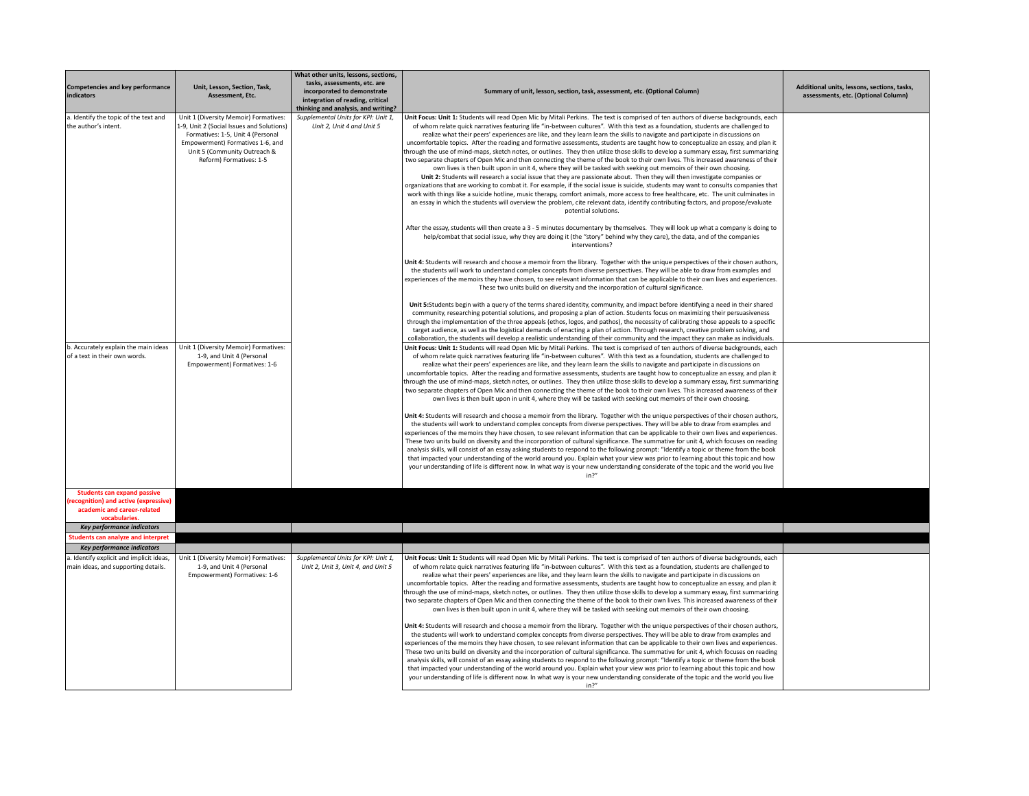| <b>Competencies and key performance</b><br>indicators                                                                     | Unit, Lesson, Section, Task,<br>Assessment, Etc.                                                                                                                                                                       | What other units, lessons, sections,<br>tasks, assessments, etc. are<br>incorporated to demonstrate<br>integration of reading, critical<br>thinking and analysis, and writing? | Summary of unit, lesson, section, task, assessment, etc. (Optional Column)                                                                                                                                                                                                                                                                                                                                                                                                                                                                                                                                                                                                                                                                                                                                                                                                                                                                                                                                                                                                                                                                                                                                                                                                                                                                                                                                                                                                                                                     | Additional units, lessons, sections, tasks,<br>assessments, etc. (Optional Column) |
|---------------------------------------------------------------------------------------------------------------------------|------------------------------------------------------------------------------------------------------------------------------------------------------------------------------------------------------------------------|--------------------------------------------------------------------------------------------------------------------------------------------------------------------------------|--------------------------------------------------------------------------------------------------------------------------------------------------------------------------------------------------------------------------------------------------------------------------------------------------------------------------------------------------------------------------------------------------------------------------------------------------------------------------------------------------------------------------------------------------------------------------------------------------------------------------------------------------------------------------------------------------------------------------------------------------------------------------------------------------------------------------------------------------------------------------------------------------------------------------------------------------------------------------------------------------------------------------------------------------------------------------------------------------------------------------------------------------------------------------------------------------------------------------------------------------------------------------------------------------------------------------------------------------------------------------------------------------------------------------------------------------------------------------------------------------------------------------------|------------------------------------------------------------------------------------|
| a. Identify the topic of the text and<br>the author's intent.                                                             | Unit 1 (Diversity Memoir) Formatives:<br>1-9, Unit 2 (Social Issues and Solutions)<br>Formatives: 1-5, Unit 4 (Personal<br>Empowerment) Formatives 1-6, and<br>Unit 5 (Community Outreach &<br>Reform) Formatives: 1-5 | Supplemental Units for KPI: Unit 1,<br>Unit 2, Unit 4 and Unit 5                                                                                                               | Unit Focus: Unit 1: Students will read Open Mic by Mitali Perkins. The text is comprised of ten authors of diverse backgrounds, each<br>of whom relate quick narratives featuring life "in-between cultures". With this text as a foundation, students are challenged to<br>realize what their peers' experiences are like, and they learn learn the skills to navigate and participate in discussions on<br>uncomfortable topics. After the reading and formative assessments, students are taught how to conceptualize an essay, and plan it<br>through the use of mind-maps, sketch notes, or outlines. They then utilize those skills to develop a summary essay, first summarizing<br>two separate chapters of Open Mic and then connecting the theme of the book to their own lives. This increased awareness of their<br>own lives is then built upon in unit 4, where they will be tasked with seeking out memoirs of their own choosing.<br>Unit 2: Students will research a social issue that they are passionate about. Then they will then investigate companies or<br>organizations that are working to combat it. For example, if the social issue is suicide, students may want to consults companies that<br>work with things like a suicide hotline, music therapy, comfort animals, more access to free healthcare, etc. The unit culminates in<br>an essay in which the students will overview the problem, cite relevant data, identify contributing factors, and propose/evaluate<br>potential solutions. |                                                                                    |
|                                                                                                                           |                                                                                                                                                                                                                        |                                                                                                                                                                                | After the essay, students will then create a 3 - 5 minutes documentary by themselves. They will look up what a company is doing to<br>help/combat that social issue, why they are doing it (the "story" behind why they care), the data, and of the companies<br>interventions?                                                                                                                                                                                                                                                                                                                                                                                                                                                                                                                                                                                                                                                                                                                                                                                                                                                                                                                                                                                                                                                                                                                                                                                                                                                |                                                                                    |
|                                                                                                                           |                                                                                                                                                                                                                        |                                                                                                                                                                                | Unit 4: Students will research and choose a memoir from the library. Together with the unique perspectives of their chosen authors,<br>the students will work to understand complex concepts from diverse perspectives. They will be able to draw from examples and<br>experiences of the memoirs they have chosen, to see relevant information that can be applicable to their own lives and experiences.<br>These two units build on diversity and the incorporation of cultural significance.                                                                                                                                                                                                                                                                                                                                                                                                                                                                                                                                                                                                                                                                                                                                                                                                                                                                                                                                                                                                                               |                                                                                    |
|                                                                                                                           |                                                                                                                                                                                                                        |                                                                                                                                                                                | Unit 5:Students begin with a query of the terms shared identity, community, and impact before identifying a need in their shared<br>community, researching potential solutions, and proposing a plan of action. Students focus on maximizing their persuasiveness<br>through the implementation of the three appeals (ethos, logos, and pathos), the necessity of calibrating those appeals to a specific<br>target audience, as well as the logistical demands of enacting a plan of action. Through research, creative problem solving, and<br>collaboration, the students will develop a realistic understanding of their community and the impact they can make as individuals.                                                                                                                                                                                                                                                                                                                                                                                                                                                                                                                                                                                                                                                                                                                                                                                                                                            |                                                                                    |
| b. Accurately explain the main ideas<br>of a text in their own words.                                                     | Unit 1 (Diversity Memoir) Formatives:<br>1-9, and Unit 4 (Personal<br>Empowerment) Formatives: 1-6                                                                                                                     |                                                                                                                                                                                | Unit Focus: Unit 1: Students will read Open Mic by Mitali Perkins. The text is comprised of ten authors of diverse backgrounds, each<br>of whom relate quick narratives featuring life "in-between cultures". With this text as a foundation, students are challenged to<br>realize what their peers' experiences are like, and they learn learn the skills to navigate and participate in discussions on<br>uncomfortable topics. After the reading and formative assessments, students are taught how to conceptualize an essay, and plan it<br>through the use of mind-maps, sketch notes, or outlines. They then utilize those skills to develop a summary essay, first summarizing<br>two separate chapters of Open Mic and then connecting the theme of the book to their own lives. This increased awareness of their<br>own lives is then built upon in unit 4, where they will be tasked with seeking out memoirs of their own choosing.                                                                                                                                                                                                                                                                                                                                                                                                                                                                                                                                                                              |                                                                                    |
|                                                                                                                           |                                                                                                                                                                                                                        |                                                                                                                                                                                | Unit 4: Students will research and choose a memoir from the library. Together with the unique perspectives of their chosen authors,<br>the students will work to understand complex concepts from diverse perspectives. They will be able to draw from examples and<br>experiences of the memoirs they have chosen, to see relevant information that can be applicable to their own lives and experiences.<br>These two units build on diversity and the incorporation of cultural significance. The summative for unit 4, which focuses on reading<br>analysis skills, will consist of an essay asking students to respond to the following prompt: "Identify a topic or theme from the book<br>that impacted your understanding of the world around you. Explain what your view was prior to learning about this topic and how<br>your understanding of life is different now. In what way is your new understanding considerate of the topic and the world you live<br>in 2 <sup>n</sup>                                                                                                                                                                                                                                                                                                                                                                                                                                                                                                                                    |                                                                                    |
| <b>Students can expand passive</b><br>ecognition) and active (expressive)<br>academic and career-related<br>vocabularies. |                                                                                                                                                                                                                        |                                                                                                                                                                                |                                                                                                                                                                                                                                                                                                                                                                                                                                                                                                                                                                                                                                                                                                                                                                                                                                                                                                                                                                                                                                                                                                                                                                                                                                                                                                                                                                                                                                                                                                                                |                                                                                    |
| Key performance indicators                                                                                                |                                                                                                                                                                                                                        |                                                                                                                                                                                |                                                                                                                                                                                                                                                                                                                                                                                                                                                                                                                                                                                                                                                                                                                                                                                                                                                                                                                                                                                                                                                                                                                                                                                                                                                                                                                                                                                                                                                                                                                                |                                                                                    |
| <b>Students can analyze and interpret</b>                                                                                 |                                                                                                                                                                                                                        |                                                                                                                                                                                |                                                                                                                                                                                                                                                                                                                                                                                                                                                                                                                                                                                                                                                                                                                                                                                                                                                                                                                                                                                                                                                                                                                                                                                                                                                                                                                                                                                                                                                                                                                                |                                                                                    |
| Key performance indicators                                                                                                |                                                                                                                                                                                                                        |                                                                                                                                                                                |                                                                                                                                                                                                                                                                                                                                                                                                                                                                                                                                                                                                                                                                                                                                                                                                                                                                                                                                                                                                                                                                                                                                                                                                                                                                                                                                                                                                                                                                                                                                |                                                                                    |
| a. Identify explicit and implicit ideas,<br>main ideas, and supporting details.                                           | Unit 1 (Diversity Memoir) Formatives:<br>1-9, and Unit 4 (Personal<br>Empowerment) Formatives: 1-6                                                                                                                     | Supplemental Units for KPI: Unit 1,<br>Unit 2, Unit 3, Unit 4, and Unit 5                                                                                                      | Unit Focus: Unit 1: Students will read Open Mic by Mitali Perkins. The text is comprised of ten authors of diverse backgrounds, each<br>of whom relate quick narratives featuring life "in-between cultures". With this text as a foundation, students are challenged to<br>realize what their peers' experiences are like, and they learn learn the skills to navigate and participate in discussions on<br>uncomfortable topics. After the reading and formative assessments, students are taught how to conceptualize an essay, and plan it<br>through the use of mind-maps, sketch notes, or outlines. They then utilize those skills to develop a summary essay, first summarizing<br>two separate chapters of Open Mic and then connecting the theme of the book to their own lives. This increased awareness of their<br>own lives is then built upon in unit 4, where they will be tasked with seeking out memoirs of their own choosing.                                                                                                                                                                                                                                                                                                                                                                                                                                                                                                                                                                              |                                                                                    |
|                                                                                                                           |                                                                                                                                                                                                                        |                                                                                                                                                                                | Unit 4: Students will research and choose a memoir from the library. Together with the unique perspectives of their chosen authors,<br>the students will work to understand complex concepts from diverse perspectives. They will be able to draw from examples and<br>experiences of the memoirs they have chosen, to see relevant information that can be applicable to their own lives and experiences.<br>These two units build on diversity and the incorporation of cultural significance. The summative for unit 4, which focuses on reading<br>analysis skills, will consist of an essay asking students to respond to the following prompt: "Identify a topic or theme from the book<br>that impacted your understanding of the world around you. Explain what your view was prior to learning about this topic and how<br>your understanding of life is different now. In what way is your new understanding considerate of the topic and the world you live<br>in <sup>2</sup>                                                                                                                                                                                                                                                                                                                                                                                                                                                                                                                                      |                                                                                    |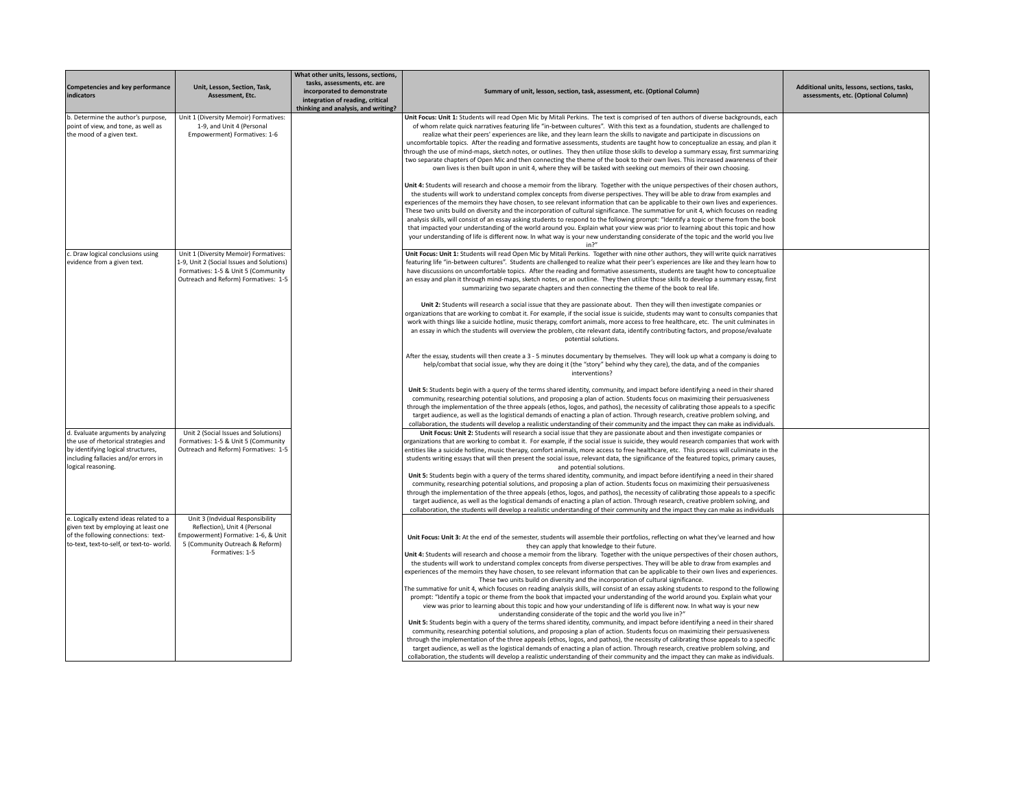| Competencies and key performance<br>indicators                                                                                                                                 | Unit, Lesson, Section, Task,<br>Assessment. Etc.                                                                                                                  | What other units, lessons, sections,<br>tasks, assessments, etc. are<br>incorporated to demonstrate<br>integration of reading, critical<br>thinking and analysis, and writing? | Summary of unit, lesson, section, task, assessment, etc. (Optional Column)                                                                                                                                                                                                                                                                                                                                                                                                                                                                                                                                                                                                                                                                                                                                                                                                                                                                                                                                                                                                                                                                                                                                                                                                                                   | Additional units, lessons, sections, tasks,<br>assessments, etc. (Optional Column) |
|--------------------------------------------------------------------------------------------------------------------------------------------------------------------------------|-------------------------------------------------------------------------------------------------------------------------------------------------------------------|--------------------------------------------------------------------------------------------------------------------------------------------------------------------------------|--------------------------------------------------------------------------------------------------------------------------------------------------------------------------------------------------------------------------------------------------------------------------------------------------------------------------------------------------------------------------------------------------------------------------------------------------------------------------------------------------------------------------------------------------------------------------------------------------------------------------------------------------------------------------------------------------------------------------------------------------------------------------------------------------------------------------------------------------------------------------------------------------------------------------------------------------------------------------------------------------------------------------------------------------------------------------------------------------------------------------------------------------------------------------------------------------------------------------------------------------------------------------------------------------------------|------------------------------------------------------------------------------------|
| b. Determine the author's purpose,<br>point of view, and tone, as well as<br>the mood of a given text.                                                                         | Unit 1 (Diversity Memoir) Formatives:<br>1-9, and Unit 4 (Personal<br>Empowerment) Formatives: 1-6                                                                |                                                                                                                                                                                | Unit Focus: Unit 1: Students will read Open Mic by Mitali Perkins. The text is comprised of ten authors of diverse backgrounds, each<br>of whom relate quick narratives featuring life "in-between cultures". With this text as a foundation, students are challenged to<br>realize what their peers' experiences are like, and they learn learn the skills to navigate and participate in discussions on<br>uncomfortable topics. After the reading and formative assessments, students are taught how to conceptualize an essay, and plan it<br>through the use of mind-maps, sketch notes, or outlines. They then utilize those skills to develop a summary essay, first summarizing<br>two separate chapters of Open Mic and then connecting the theme of the book to their own lives. This increased awareness of their<br>own lives is then built upon in unit 4, where they will be tasked with seeking out memoirs of their own choosing.                                                                                                                                                                                                                                                                                                                                                            |                                                                                    |
|                                                                                                                                                                                |                                                                                                                                                                   |                                                                                                                                                                                | Unit 4: Students will research and choose a memoir from the library. Together with the unique perspectives of their chosen authors,<br>the students will work to understand complex concepts from diverse perspectives. They will be able to draw from examples and<br>experiences of the memoirs they have chosen, to see relevant information that can be applicable to their own lives and experiences.<br>These two units build on diversity and the incorporation of cultural significance. The summative for unit 4, which focuses on reading<br>analysis skills, will consist of an essay asking students to respond to the following prompt: "Identify a topic or theme from the book<br>that impacted your understanding of the world around you. Explain what your view was prior to learning about this topic and how<br>your understanding of life is different now. In what way is your new understanding considerate of the topic and the world you live<br>in?''                                                                                                                                                                                                                                                                                                                              |                                                                                    |
| c. Draw logical conclusions using<br>evidence from a given text.                                                                                                               | Unit 1 (Diversity Memoir) Formatives:<br>1-9, Unit 2 (Social Issues and Solutions)<br>Formatives: 1-5 & Unit 5 (Community<br>Outreach and Reform) Formatives: 1-5 |                                                                                                                                                                                | Unit Focus: Unit 1: Students will read Open Mic by Mitali Perkins. Together with nine other authors, they will write quick narratives<br>featuring life "in-between cultures". Students are challenged to realize what their peer's experiences are like and they learn how to<br>have discussions on uncomfortable topics. After the reading and formative assessments, students are taught how to conceptualize<br>an essay and plan it through mind-maps, sketch notes, or an outline. They then utilize those skills to develop a summary essay, first<br>summarizing two separate chapters and then connecting the theme of the book to real life.                                                                                                                                                                                                                                                                                                                                                                                                                                                                                                                                                                                                                                                      |                                                                                    |
|                                                                                                                                                                                |                                                                                                                                                                   |                                                                                                                                                                                | Unit 2: Students will research a social issue that they are passionate about. Then they will then investigate companies or<br>organizations that are working to combat it. For example, if the social issue is suicide, students may want to consults companies that<br>work with things like a suicide hotline, music therapy, comfort animals, more access to free healthcare, etc. The unit culminates in<br>an essay in which the students will overview the problem, cite relevant data, identify contributing factors, and propose/evaluate<br>potential solutions.                                                                                                                                                                                                                                                                                                                                                                                                                                                                                                                                                                                                                                                                                                                                    |                                                                                    |
|                                                                                                                                                                                |                                                                                                                                                                   |                                                                                                                                                                                | After the essay, students will then create a 3 - 5 minutes documentary by themselves. They will look up what a company is doing to<br>help/combat that social issue, why they are doing it (the "story" behind why they care), the data, and of the companies<br>interventions?                                                                                                                                                                                                                                                                                                                                                                                                                                                                                                                                                                                                                                                                                                                                                                                                                                                                                                                                                                                                                              |                                                                                    |
|                                                                                                                                                                                |                                                                                                                                                                   |                                                                                                                                                                                | Unit 5: Students begin with a query of the terms shared identity, community, and impact before identifying a need in their shared<br>community, researching potential solutions, and proposing a plan of action. Students focus on maximizing their persuasiveness<br>through the implementation of the three appeals (ethos, logos, and pathos), the necessity of calibrating those appeals to a specific<br>target audience, as well as the logistical demands of enacting a plan of action. Through research, creative problem solving, and<br>collaboration, the students will develop a realistic understanding of their community and the impact they can make as individuals.                                                                                                                                                                                                                                                                                                                                                                                                                                                                                                                                                                                                                         |                                                                                    |
| d. Evaluate arguments by analyzing<br>the use of rhetorical strategies and<br>by identifying logical structures,<br>including fallacies and/or errors in<br>logical reasoning. | Unit 2 (Social Issues and Solutions)<br>Formatives: 1-5 & Unit 5 (Community<br>Outreach and Reform) Formatives: 1-5                                               |                                                                                                                                                                                | Unit Focus: Unit 2: Students will research a social issue that they are passionate about and then investigate companies or<br>organizations that are working to combat it. For example, if the social issue is suicide, they would research companies that work with<br>entities like a suicide hotline, music therapy, comfort animals, more access to free healthcare, etc. This process will culiminate in the<br>students writing essays that will then present the social issue, relevant data, the significance of the featured topics, primary causes,<br>and potential solutions.                                                                                                                                                                                                                                                                                                                                                                                                                                                                                                                                                                                                                                                                                                                    |                                                                                    |
|                                                                                                                                                                                |                                                                                                                                                                   |                                                                                                                                                                                | Unit 5: Students begin with a query of the terms shared identity, community, and impact before identifying a need in their shared<br>community, researching potential solutions, and proposing a plan of action. Students focus on maximizing their persuasiveness<br>through the implementation of the three appeals (ethos, logos, and pathos), the necessity of calibrating those appeals to a specific<br>target audience, as well as the logistical demands of enacting a plan of action. Through research, creative problem solving, and<br>collaboration, the students will develop a realistic understanding of their community and the impact they can make as individuals                                                                                                                                                                                                                                                                                                                                                                                                                                                                                                                                                                                                                          |                                                                                    |
| e. Logically extend ideas related to a<br>given text by employing at least one<br>of the following connections: text-<br>to-text, text-to-self, or text-to-world.              | Unit 3 (Indvidual Responsibility<br>Reflection), Unit 4 (Personal<br>Empowerment) Formative: 1-6, & Unit<br>5 (Community Outreach & Reform)<br>Formatives: 1-5    |                                                                                                                                                                                | Unit Focus: Unit 3: At the end of the semester, students will assemble their portfolios, reflecting on what they've learned and how<br>they can apply that knowledge to their future.<br>Unit 4: Students will research and choose a memoir from the library. Together with the unique perspectives of their chosen authors,<br>the students will work to understand complex concepts from diverse perspectives. They will be able to draw from examples and<br>experiences of the memoirs they have chosen, to see relevant information that can be applicable to their own lives and experiences.<br>These two units build on diversity and the incorporation of cultural significance.<br>The summative for unit 4, which focuses on reading analysis skills, will consist of an essay asking students to respond to the following<br>prompt: "Identify a topic or theme from the book that impacted your understanding of the world around you. Explain what your<br>view was prior to learning about this topic and how your understanding of life is different now. In what way is your new<br>understanding considerate of the topic and the world you live in?"<br>Unit 5: Students begin with a query of the terms shared identity, community, and impact before identifying a need in their shared |                                                                                    |
|                                                                                                                                                                                |                                                                                                                                                                   |                                                                                                                                                                                | community, researching potential solutions, and proposing a plan of action. Students focus on maximizing their persuasiveness<br>through the implementation of the three appeals (ethos, logos, and pathos), the necessity of calibrating those appeals to a specific<br>target audience, as well as the logistical demands of enacting a plan of action. Through research, creative problem solving, and<br>collaboration, the students will develop a realistic understanding of their community and the impact they can make as individuals.                                                                                                                                                                                                                                                                                                                                                                                                                                                                                                                                                                                                                                                                                                                                                              |                                                                                    |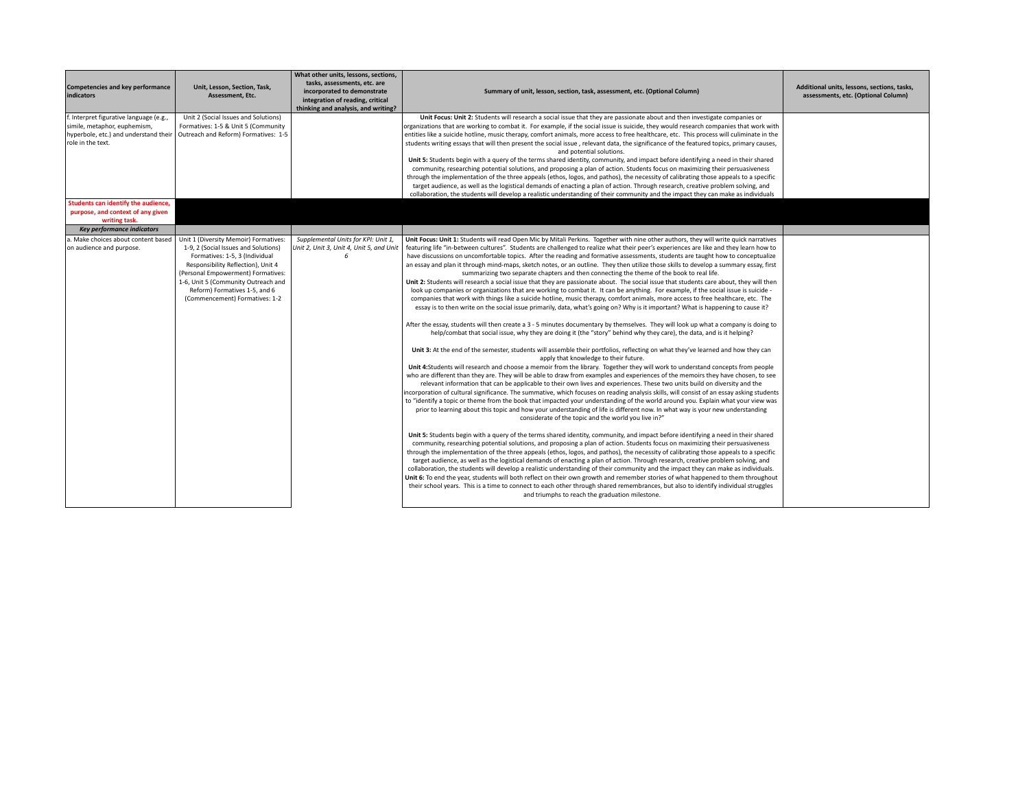| Competencies and key performance<br>indicators | Unit, Lesson, Section, Task,<br>Assessment, Etc.                             | What other units, lessons, sections,<br>tasks, assessments, etc. are<br>incorporated to demonstrate<br>integration of reading, critical<br>thinking and analysis, and writing? | Summary of unit, lesson, section, task, assessment, etc. (Optional Column)                                                                                                                                                                                            | Additional units, lessons, sections, tasks,<br>assessments, etc. (Optional Column) |
|------------------------------------------------|------------------------------------------------------------------------------|--------------------------------------------------------------------------------------------------------------------------------------------------------------------------------|-----------------------------------------------------------------------------------------------------------------------------------------------------------------------------------------------------------------------------------------------------------------------|------------------------------------------------------------------------------------|
| f. Interpret figurative language (e.g.,        | Unit 2 (Social Issues and Solutions)                                         |                                                                                                                                                                                | Unit Focus: Unit 2: Students will research a social issue that they are passionate about and then investigate companies or                                                                                                                                            |                                                                                    |
| simile, metaphor, euphemism,                   | Formatives: 1-5 & Unit 5 (Community                                          |                                                                                                                                                                                | organizations that are working to combat it. For example, if the social issue is suicide, they would research companies that work with                                                                                                                                |                                                                                    |
|                                                | hyperbole, etc.) and understand their   Outreach and Reform) Formatives: 1-5 |                                                                                                                                                                                | entities like a suicide hotline, music therapy, comfort animals, more access to free healthcare, etc. This process will culiminate in the                                                                                                                             |                                                                                    |
| role in the text.                              |                                                                              |                                                                                                                                                                                | students writing essays that will then present the social issue, relevant data, the significance of the featured topics, primary causes,<br>and potential solutions.                                                                                                  |                                                                                    |
|                                                |                                                                              |                                                                                                                                                                                | Unit 5: Students begin with a query of the terms shared identity, community, and impact before identifying a need in their shared                                                                                                                                     |                                                                                    |
|                                                |                                                                              |                                                                                                                                                                                | community, researching potential solutions, and proposing a plan of action. Students focus on maximizing their persuasiveness                                                                                                                                         |                                                                                    |
|                                                |                                                                              |                                                                                                                                                                                | through the implementation of the three appeals (ethos, logos, and pathos), the necessity of calibrating those appeals to a specific                                                                                                                                  |                                                                                    |
|                                                |                                                                              |                                                                                                                                                                                | target audience, as well as the logistical demands of enacting a plan of action. Through research, creative problem solving, and<br>collaboration, the students will develop a realistic understanding of their community and the impact they can make as individuals |                                                                                    |
| Students can identify the audience.            |                                                                              |                                                                                                                                                                                |                                                                                                                                                                                                                                                                       |                                                                                    |
| purpose, and context of any given              |                                                                              |                                                                                                                                                                                |                                                                                                                                                                                                                                                                       |                                                                                    |
| writing task.<br>Key performance indicators    |                                                                              |                                                                                                                                                                                |                                                                                                                                                                                                                                                                       |                                                                                    |
| a. Make choices about content based            | Unit 1 (Diversity Memoir) Formatives:                                        | Supplemental Units for KPI: Unit 1,                                                                                                                                            | Unit Focus: Unit 1: Students will read Open Mic by Mitali Perkins. Together with nine other authors, they will write quick narratives                                                                                                                                 |                                                                                    |
| on audience and purpose.                       | 1-9, 2 (Social Issues and Solutions)                                         | Unit 2, Unit 3, Unit 4, Unit 5, and Unit                                                                                                                                       | featuring life "in-between cultures". Students are challenged to realize what their peer's experiences are like and they learn how to                                                                                                                                 |                                                                                    |
|                                                | Formatives: 1-5, 3 (Individual                                               | 6                                                                                                                                                                              | have discussions on uncomfortable topics. After the reading and formative assessments, students are taught how to conceptualize                                                                                                                                       |                                                                                    |
|                                                | Responsibility Reflection), Unit 4                                           |                                                                                                                                                                                | an essay and plan it through mind-maps, sketch notes, or an outline. They then utilize those skills to develop a summary essay, first                                                                                                                                 |                                                                                    |
|                                                | (Personal Empowerment) Formatives:                                           |                                                                                                                                                                                | summarizing two separate chapters and then connecting the theme of the book to real life.                                                                                                                                                                             |                                                                                    |
|                                                | 1-6, Unit 5 (Community Outreach and                                          |                                                                                                                                                                                | Unit 2: Students will research a social issue that they are passionate about. The social issue that students care about, they will then                                                                                                                               |                                                                                    |
|                                                | Reform) Formatives 1-5, and 6                                                |                                                                                                                                                                                | look up companies or organizations that are working to combat it. It can be anything. For example, if the social issue is suicide -                                                                                                                                   |                                                                                    |
|                                                | (Commencement) Formatives: 1-2                                               |                                                                                                                                                                                | companies that work with things like a suicide hotline, music therapy, comfort animals, more access to free healthcare, etc. The                                                                                                                                      |                                                                                    |
|                                                |                                                                              |                                                                                                                                                                                | essay is to then write on the social issue primarily, data, what's going on? Why is it important? What is happening to cause it?                                                                                                                                      |                                                                                    |
|                                                |                                                                              |                                                                                                                                                                                | After the essay, students will then create a 3 - 5 minutes documentary by themselves. They will look up what a company is doing to                                                                                                                                    |                                                                                    |
|                                                |                                                                              |                                                                                                                                                                                | help/combat that social issue, why they are doing it (the "story" behind why they care), the data, and is it helping?                                                                                                                                                 |                                                                                    |
|                                                |                                                                              |                                                                                                                                                                                | Unit 3: At the end of the semester, students will assemble their portfolios, reflecting on what they've learned and how they can<br>apply that knowledge to their future.                                                                                             |                                                                                    |
|                                                |                                                                              |                                                                                                                                                                                | Unit 4:Students will research and choose a memoir from the library. Together they will work to understand concepts from people                                                                                                                                        |                                                                                    |
|                                                |                                                                              |                                                                                                                                                                                | who are different than they are. They will be able to draw from examples and experiences of the memoirs they have chosen, to see                                                                                                                                      |                                                                                    |
|                                                |                                                                              |                                                                                                                                                                                | relevant information that can be applicable to their own lives and experiences. These two units build on diversity and the                                                                                                                                            |                                                                                    |
|                                                |                                                                              |                                                                                                                                                                                | incorporation of cultural significance. The summative, which focuses on reading analysis skills, will consist of an essay asking students                                                                                                                             |                                                                                    |
|                                                |                                                                              |                                                                                                                                                                                | to "identify a topic or theme from the book that impacted your understanding of the world around you. Explain what your view was                                                                                                                                      |                                                                                    |
|                                                |                                                                              |                                                                                                                                                                                | prior to learning about this topic and how your understanding of life is different now. In what way is your new understanding                                                                                                                                         |                                                                                    |
|                                                |                                                                              |                                                                                                                                                                                | considerate of the topic and the world you live in?"                                                                                                                                                                                                                  |                                                                                    |
|                                                |                                                                              |                                                                                                                                                                                | Unit 5: Students begin with a query of the terms shared identity, community, and impact before identifying a need in their shared                                                                                                                                     |                                                                                    |
|                                                |                                                                              |                                                                                                                                                                                | community, researching potential solutions, and proposing a plan of action. Students focus on maximizing their persuasiveness                                                                                                                                         |                                                                                    |
|                                                |                                                                              |                                                                                                                                                                                | through the implementation of the three appeals (ethos, logos, and pathos), the necessity of calibrating those appeals to a specific                                                                                                                                  |                                                                                    |
|                                                |                                                                              |                                                                                                                                                                                | target audience, as well as the logistical demands of enacting a plan of action. Through research, creative problem solving, and                                                                                                                                      |                                                                                    |
|                                                |                                                                              |                                                                                                                                                                                | collaboration, the students will develop a realistic understanding of their community and the impact they can make as individuals.                                                                                                                                    |                                                                                    |
|                                                |                                                                              |                                                                                                                                                                                | Unit 6: To end the year, students will both reflect on their own growth and remember stories of what happened to them throughout                                                                                                                                      |                                                                                    |
|                                                |                                                                              |                                                                                                                                                                                | their school years. This is a time to connect to each other through shared remembrances, but also to identify individual struggles<br>and triumphs to reach the graduation milestone.                                                                                 |                                                                                    |
|                                                |                                                                              |                                                                                                                                                                                |                                                                                                                                                                                                                                                                       |                                                                                    |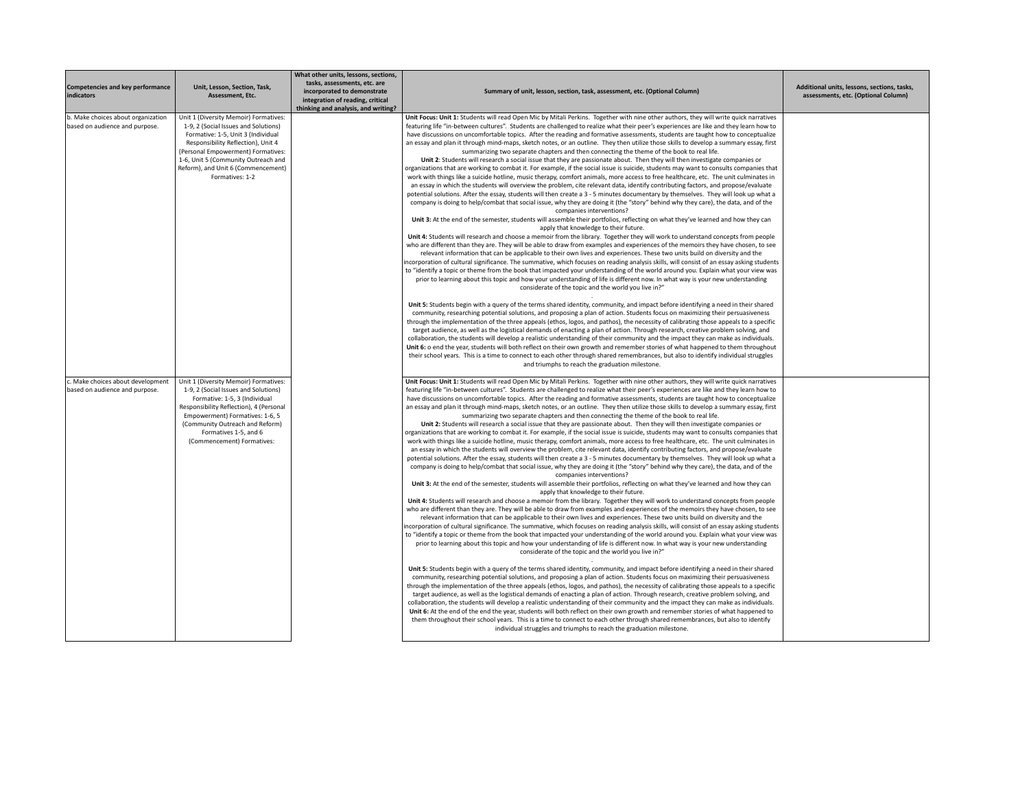| <b>Competencies and key performance</b><br>indicators                | Unit, Lesson, Section, Task,<br>Assessment. Etc.                                                                                                                                                                                                                                                | What other units, lessons, sections,<br>tasks, assessments, etc. are<br>incorporated to demonstrate<br>integration of reading, critical<br>thinking and analysis, and writing? | Summary of unit, lesson, section, task, assessment, etc. (Optional Column)                                                                                                                                                                                                                                                                                                                                                                                                                                                                                                                                                                                                                                                                                                                                                                                                                                                                                                                                                                                                                                                                                                                                                                                                                                                                                                                                                                                                                                                                                                                                                                                                                                                                                                                                                                                                                                                                                                                                                                                                                                                                                                                                                                                                                                                                                                                                                                                                                                                                                                                                                                                                                                                                                                                                                                                                                                                                                                                                                                                                                                                                                                                                                                                                                                                                                                                                                                                                                                                                                                                                                                                              | Additional units, lessons, sections, tasks,<br>assessments, etc. (Optional Column) |
|----------------------------------------------------------------------|-------------------------------------------------------------------------------------------------------------------------------------------------------------------------------------------------------------------------------------------------------------------------------------------------|--------------------------------------------------------------------------------------------------------------------------------------------------------------------------------|-------------------------------------------------------------------------------------------------------------------------------------------------------------------------------------------------------------------------------------------------------------------------------------------------------------------------------------------------------------------------------------------------------------------------------------------------------------------------------------------------------------------------------------------------------------------------------------------------------------------------------------------------------------------------------------------------------------------------------------------------------------------------------------------------------------------------------------------------------------------------------------------------------------------------------------------------------------------------------------------------------------------------------------------------------------------------------------------------------------------------------------------------------------------------------------------------------------------------------------------------------------------------------------------------------------------------------------------------------------------------------------------------------------------------------------------------------------------------------------------------------------------------------------------------------------------------------------------------------------------------------------------------------------------------------------------------------------------------------------------------------------------------------------------------------------------------------------------------------------------------------------------------------------------------------------------------------------------------------------------------------------------------------------------------------------------------------------------------------------------------------------------------------------------------------------------------------------------------------------------------------------------------------------------------------------------------------------------------------------------------------------------------------------------------------------------------------------------------------------------------------------------------------------------------------------------------------------------------------------------------------------------------------------------------------------------------------------------------------------------------------------------------------------------------------------------------------------------------------------------------------------------------------------------------------------------------------------------------------------------------------------------------------------------------------------------------------------------------------------------------------------------------------------------------------------------------------------------------------------------------------------------------------------------------------------------------------------------------------------------------------------------------------------------------------------------------------------------------------------------------------------------------------------------------------------------------------------------------------------------------------------------------------------------------|------------------------------------------------------------------------------------|
| b. Make choices about organization<br>based on audience and purpose. | Unit 1 (Diversity Memoir) Formatives:<br>1-9, 2 (Social Issues and Solutions)<br>Formative: 1-5, Unit 3 (Individual<br>Responsibility Reflection), Unit 4<br>(Personal Empowerment) Formatives:<br>1-6, Unit 5 (Community Outreach and<br>Reform), and Unit 6 (Commencement)<br>Formatives: 1-2 |                                                                                                                                                                                | Unit Focus: Unit 1: Students will read Open Mic by Mitali Perkins. Together with nine other authors, they will write quick narratives<br>featuring life "in-between cultures". Students are challenged to realize what their peer's experiences are like and they learn how to<br>have discussions on uncomfortable topics. After the reading and formative assessments, students are taught how to conceptualize<br>an essay and plan it through mind-maps, sketch notes, or an outline. They then utilize those skills to develop a summary essay, first<br>summarizing two separate chapters and then connecting the theme of the book to real life.<br>Unit 2: Students will research a social issue that they are passionate about. Then they will then investigate companies or<br>organizations that are working to combat it. For example, if the social issue is suicide, students may want to consults companies that<br>work with things like a suicide hotline, music therapy, comfort animals, more access to free healthcare, etc. The unit culminates in<br>an essay in which the students will overview the problem, cite relevant data, identify contributing factors, and propose/evaluate<br>potential solutions. After the essay, students will then create a 3 - 5 minutes documentary by themselves. They will look up what a<br>company is doing to help/combat that social issue, why they are doing it (the "story" behind why they care), the data, and of the<br>companies interventions?<br>Unit 3: At the end of the semester, students will assemble their portfolios, reflecting on what they've learned and how they can<br>apply that knowledge to their future.<br>Unit 4: Students will research and choose a memoir from the library. Together they will work to understand concepts from people<br>who are different than they are. They will be able to draw from examples and experiences of the memoirs they have chosen, to see<br>relevant information that can be applicable to their own lives and experiences. These two units build on diversity and the<br>incorporation of cultural significance. The summative, which focuses on reading analysis skills, will consist of an essay asking students<br>to "identify a topic or theme from the book that impacted your understanding of the world around you. Explain what your view was<br>prior to learning about this topic and how your understanding of life is different now. In what way is your new understanding<br>considerate of the topic and the world you live in?"<br>Unit 5: Students begin with a query of the terms shared identity, community, and impact before identifying a need in their shared<br>community, researching potential solutions, and proposing a plan of action. Students focus on maximizing their persuasiveness<br>through the implementation of the three appeals (ethos, logos, and pathos), the necessity of calibrating those appeals to a specific<br>target audience, as well as the logistical demands of enacting a plan of action. Through research, creative problem solving, and<br>collaboration, the students will develop a realistic understanding of their community and the impact they can make as individuals.<br>Unit 6: o end the year, students will both reflect on their own growth and remember stories of what happened to them throughout<br>their school years. This is a time to connect to each other through shared remembrances, but also to identify individual struggles                                                                                                                       |                                                                                    |
| c. Make choices about development<br>based on audience and purpose.  | Unit 1 (Diversity Memoir) Formatives:<br>1-9, 2 (Social Issues and Solutions)<br>Formative: 1-5, 3 (Individual<br>Responsibility Reflection), 4 (Personal<br>Empowerment) Formatives: 1-6, 5<br>(Community Outreach and Reform)<br>Formatives 1-5, and 6<br>(Commencement) Formatives:          |                                                                                                                                                                                | and triumphs to reach the graduation milestone.<br>Unit Focus: Unit 1: Students will read Open Mic by Mitali Perkins. Together with nine other authors, they will write quick narratives<br>featuring life "in-between cultures". Students are challenged to realize what their peer's experiences are like and they learn how to<br>have discussions on uncomfortable topics. After the reading and formative assessments, students are taught how to conceptualize<br>an essay and plan it through mind-maps, sketch notes, or an outline. They then utilize those skills to develop a summary essay, first<br>summarizing two separate chapters and then connecting the theme of the book to real life.<br>Unit 2: Students will research a social issue that they are passionate about. Then they will then investigate companies or<br>organizations that are working to combat it. For example, if the social issue is suicide, students may want to consults companies that<br>work with things like a suicide hotline, music therapy, comfort animals, more access to free healthcare, etc. The unit culminates in<br>an essay in which the students will overview the problem, cite relevant data, identify contributing factors, and propose/evaluate<br>potential solutions. After the essay, students will then create a 3 - 5 minutes documentary by themselves. They will look up what a<br>company is doing to help/combat that social issue, why they are doing it (the "story" behind why they care), the data, and of the<br>companies interventions?<br>Unit 3: At the end of the semester, students will assemble their portfolios, reflecting on what they've learned and how they can<br>apply that knowledge to their future.<br>Unit 4: Students will research and choose a memoir from the library. Together they will work to understand concepts from people<br>who are different than they are. They will be able to draw from examples and experiences of the memoirs they have chosen, to see<br>relevant information that can be applicable to their own lives and experiences. These two units build on diversity and the<br>incorporation of cultural significance. The summative, which focuses on reading analysis skills, will consist of an essay asking students<br>to "identify a topic or theme from the book that impacted your understanding of the world around you. Explain what your view was<br>prior to learning about this topic and how your understanding of life is different now. In what way is your new understanding<br>considerate of the topic and the world you live in?"<br>Unit 5: Students begin with a query of the terms shared identity, community, and impact before identifying a need in their shared<br>community, researching potential solutions, and proposing a plan of action. Students focus on maximizing their persuasiveness<br>through the implementation of the three appeals (ethos, logos, and pathos), the necessity of calibrating those appeals to a specific<br>target audience, as well as the logistical demands of enacting a plan of action. Through research, creative problem solving, and<br>collaboration, the students will develop a realistic understanding of their community and the impact they can make as individuals.<br>Unit 6: At the end of the end the year, students will both reflect on their own growth and remember stories of what happened to<br>them throughout their school years. This is a time to connect to each other through shared remembrances, but also to identify<br>individual struggles and triumphs to reach the graduation milestone. |                                                                                    |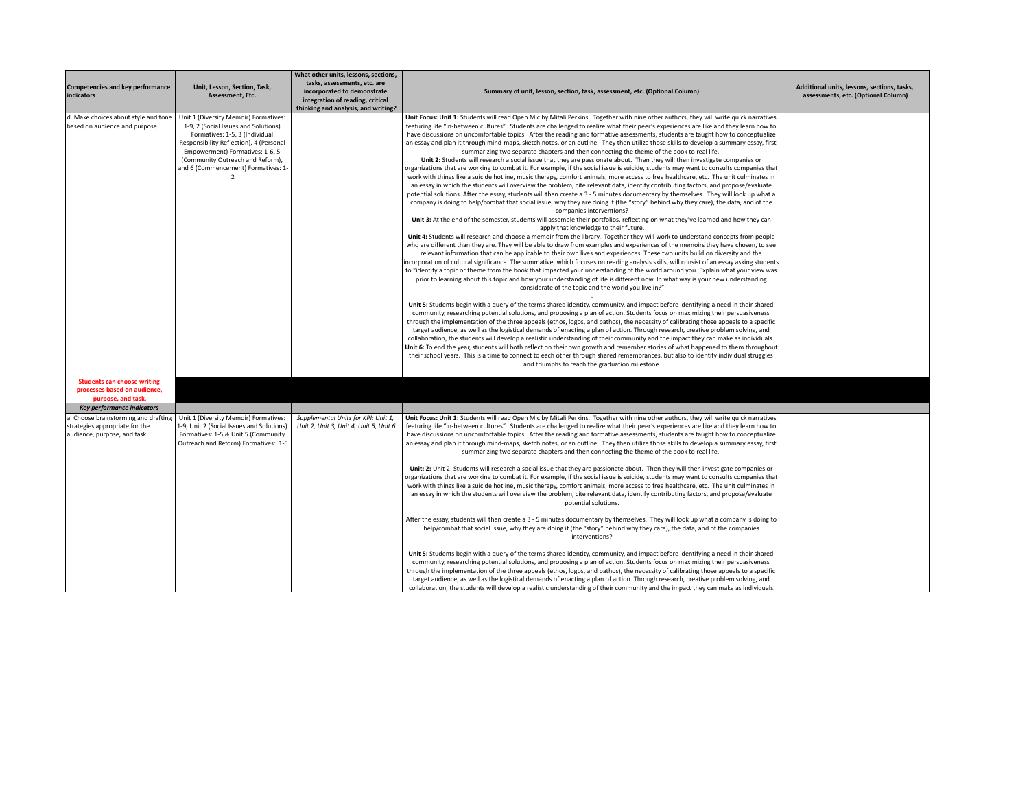| Competencies and key performance<br>indicators                                                         | Unit, Lesson, Section, Task,<br>Assessment, Etc.                                                                                                                                                                                                                                           | What other units, lessons, sections,<br>tasks, assessments, etc. are<br>incorporated to demonstrate<br>integration of reading, critical | Summary of unit, lesson, section, task, assessment, etc. (Optional Column)                                                                                                                                                                                                                                                                                                                                                                                                                                                                                                                                                                                                                                                                                                                                                                                                                                                                                                                                                                                                                                                                                                                                                                                                                                                                                                                                                                                                                                                                                                                                                                                                                                                                                                                                                                                                                                                                                                                                                                                                                                                                                                                                                                                                                                                                                                                                                                                                                                                                                                                                                                                                                                                                                                                                                                                                                                                                                                                                                                                                                                                                                                                                                                                                                                                                                                                                                                                                                                                                                                                            | Additional units, lessons, sections, tasks,<br>assessments, etc. (Optional Column) |
|--------------------------------------------------------------------------------------------------------|--------------------------------------------------------------------------------------------------------------------------------------------------------------------------------------------------------------------------------------------------------------------------------------------|-----------------------------------------------------------------------------------------------------------------------------------------|-------------------------------------------------------------------------------------------------------------------------------------------------------------------------------------------------------------------------------------------------------------------------------------------------------------------------------------------------------------------------------------------------------------------------------------------------------------------------------------------------------------------------------------------------------------------------------------------------------------------------------------------------------------------------------------------------------------------------------------------------------------------------------------------------------------------------------------------------------------------------------------------------------------------------------------------------------------------------------------------------------------------------------------------------------------------------------------------------------------------------------------------------------------------------------------------------------------------------------------------------------------------------------------------------------------------------------------------------------------------------------------------------------------------------------------------------------------------------------------------------------------------------------------------------------------------------------------------------------------------------------------------------------------------------------------------------------------------------------------------------------------------------------------------------------------------------------------------------------------------------------------------------------------------------------------------------------------------------------------------------------------------------------------------------------------------------------------------------------------------------------------------------------------------------------------------------------------------------------------------------------------------------------------------------------------------------------------------------------------------------------------------------------------------------------------------------------------------------------------------------------------------------------------------------------------------------------------------------------------------------------------------------------------------------------------------------------------------------------------------------------------------------------------------------------------------------------------------------------------------------------------------------------------------------------------------------------------------------------------------------------------------------------------------------------------------------------------------------------------------------------------------------------------------------------------------------------------------------------------------------------------------------------------------------------------------------------------------------------------------------------------------------------------------------------------------------------------------------------------------------------------------------------------------------------------------------------------------------------|------------------------------------------------------------------------------------|
|                                                                                                        |                                                                                                                                                                                                                                                                                            | thinking and analysis, and writing?                                                                                                     |                                                                                                                                                                                                                                                                                                                                                                                                                                                                                                                                                                                                                                                                                                                                                                                                                                                                                                                                                                                                                                                                                                                                                                                                                                                                                                                                                                                                                                                                                                                                                                                                                                                                                                                                                                                                                                                                                                                                                                                                                                                                                                                                                                                                                                                                                                                                                                                                                                                                                                                                                                                                                                                                                                                                                                                                                                                                                                                                                                                                                                                                                                                                                                                                                                                                                                                                                                                                                                                                                                                                                                                                       |                                                                                    |
| d. Make choices about style and tone<br>based on audience and purpose.                                 | Unit 1 (Diversity Memoir) Formatives:<br>1-9, 2 (Social Issues and Solutions)<br>Formatives: 1-5, 3 (Individual<br>Responsibility Reflection), 4 (Personal<br>Empowerment) Formatives: 1-6, 5<br>(Community Outreach and Reform),<br>and 6 (Commencement) Formatives: 1-<br>$\overline{2}$ |                                                                                                                                         | Unit Focus: Unit 1: Students will read Open Mic by Mitali Perkins. Together with nine other authors, they will write quick narratives<br>featuring life "in-between cultures". Students are challenged to realize what their peer's experiences are like and they learn how to<br>have discussions on uncomfortable topics. After the reading and formative assessments, students are taught how to conceptualize<br>an essay and plan it through mind-maps, sketch notes, or an outline. They then utilize those skills to develop a summary essay, first<br>summarizing two separate chapters and then connecting the theme of the book to real life.<br>Unit 2: Students will research a social issue that they are passionate about. Then they will then investigate companies or<br>organizations that are working to combat it. For example, if the social issue is suicide, students may want to consults companies that<br>work with things like a suicide hotline, music therapy, comfort animals, more access to free healthcare, etc. The unit culminates in<br>an essay in which the students will overview the problem, cite relevant data, identify contributing factors, and propose/evaluate<br>potential solutions. After the essay, students will then create a 3 - 5 minutes documentary by themselves. They will look up what a<br>company is doing to help/combat that social issue, why they are doing it (the "story" behind why they care), the data, and of the<br>companies interventions?<br>Unit 3: At the end of the semester, students will assemble their portfolios, reflecting on what they've learned and how they can<br>apply that knowledge to their future.<br>Unit 4: Students will research and choose a memoir from the library. Together they will work to understand concepts from people<br>who are different than they are. They will be able to draw from examples and experiences of the memoirs they have chosen, to see<br>relevant information that can be applicable to their own lives and experiences. These two units build on diversity and the<br>incorporation of cultural significance. The summative, which focuses on reading analysis skills, will consist of an essay asking students<br>to "identify a topic or theme from the book that impacted your understanding of the world around you. Explain what your view was<br>prior to learning about this topic and how your understanding of life is different now. In what way is your new understanding<br>considerate of the topic and the world you live in?"<br>Unit 5: Students begin with a query of the terms shared identity, community, and impact before identifying a need in their shared<br>community, researching potential solutions, and proposing a plan of action. Students focus on maximizing their persuasiveness<br>through the implementation of the three appeals (ethos, logos, and pathos), the necessity of calibrating those appeals to a specific<br>target audience, as well as the logistical demands of enacting a plan of action. Through research, creative problem solving, and<br>collaboration, the students will develop a realistic understanding of their community and the impact they can make as individuals.<br>Unit 6: To end the year, students will both reflect on their own growth and remember stories of what happened to them throughout<br>their school years. This is a time to connect to each other through shared remembrances, but also to identify individual struggles<br>and triumphs to reach the graduation milestone. |                                                                                    |
| <b>Students can choose writing</b>                                                                     |                                                                                                                                                                                                                                                                                            |                                                                                                                                         |                                                                                                                                                                                                                                                                                                                                                                                                                                                                                                                                                                                                                                                                                                                                                                                                                                                                                                                                                                                                                                                                                                                                                                                                                                                                                                                                                                                                                                                                                                                                                                                                                                                                                                                                                                                                                                                                                                                                                                                                                                                                                                                                                                                                                                                                                                                                                                                                                                                                                                                                                                                                                                                                                                                                                                                                                                                                                                                                                                                                                                                                                                                                                                                                                                                                                                                                                                                                                                                                                                                                                                                                       |                                                                                    |
| processes based on audience,<br>purpose, and task.                                                     |                                                                                                                                                                                                                                                                                            |                                                                                                                                         |                                                                                                                                                                                                                                                                                                                                                                                                                                                                                                                                                                                                                                                                                                                                                                                                                                                                                                                                                                                                                                                                                                                                                                                                                                                                                                                                                                                                                                                                                                                                                                                                                                                                                                                                                                                                                                                                                                                                                                                                                                                                                                                                                                                                                                                                                                                                                                                                                                                                                                                                                                                                                                                                                                                                                                                                                                                                                                                                                                                                                                                                                                                                                                                                                                                                                                                                                                                                                                                                                                                                                                                                       |                                                                                    |
| Key performance indicators                                                                             |                                                                                                                                                                                                                                                                                            |                                                                                                                                         |                                                                                                                                                                                                                                                                                                                                                                                                                                                                                                                                                                                                                                                                                                                                                                                                                                                                                                                                                                                                                                                                                                                                                                                                                                                                                                                                                                                                                                                                                                                                                                                                                                                                                                                                                                                                                                                                                                                                                                                                                                                                                                                                                                                                                                                                                                                                                                                                                                                                                                                                                                                                                                                                                                                                                                                                                                                                                                                                                                                                                                                                                                                                                                                                                                                                                                                                                                                                                                                                                                                                                                                                       |                                                                                    |
| a. Choose brainstorming and drafting<br>strategies appropriate for the<br>audience, purpose, and task. | Unit 1 (Diversity Memoir) Formatives:<br>1-9, Unit 2 (Social Issues and Solutions)<br>Formatives: 1-5 & Unit 5 (Community<br>Outreach and Reform) Formatives: 1-5                                                                                                                          | Supplemental Units for KPI: Unit 1,<br>Unit 2, Unit 3, Unit 4, Unit 5, Unit 6                                                           | Unit Focus: Unit 1: Students will read Open Mic by Mitali Perkins. Together with nine other authors, they will write quick narratives<br>featuring life "in-between cultures". Students are challenged to realize what their peer's experiences are like and they learn how to<br>have discussions on uncomfortable topics. After the reading and formative assessments, students are taught how to conceptualize<br>an essay and plan it through mind-maps, sketch notes, or an outline. They then utilize those skills to develop a summary essay, first<br>summarizing two separate chapters and then connecting the theme of the book to real life.<br>Unit: 2: Unit 2: Students will research a social issue that they are passionate about. Then they will then investigate companies or<br>organizations that are working to combat it. For example, if the social issue is suicide, students may want to consults companies that<br>work with things like a suicide hotline, music therapy, comfort animals, more access to free healthcare, etc. The unit culminates in<br>an essay in which the students will overview the problem, cite relevant data, identify contributing factors, and propose/evaluate<br>potential solutions.                                                                                                                                                                                                                                                                                                                                                                                                                                                                                                                                                                                                                                                                                                                                                                                                                                                                                                                                                                                                                                                                                                                                                                                                                                                                                                                                                                                                                                                                                                                                                                                                                                                                                                                                                                                                                                                                                                                                                                                                                                                                                                                                                                                                                                                                                                                                                         |                                                                                    |
|                                                                                                        |                                                                                                                                                                                                                                                                                            |                                                                                                                                         | After the essay, students will then create a 3 - 5 minutes documentary by themselves. They will look up what a company is doing to<br>help/combat that social issue, why they are doing it (the "story" behind why they care), the data, and of the companies<br>interventions?<br>Unit 5: Students begin with a query of the terms shared identity, community, and impact before identifying a need in their shared<br>community, researching potential solutions, and proposing a plan of action. Students focus on maximizing their persuasiveness<br>through the implementation of the three appeals (ethos, logos, and pathos), the necessity of calibrating those appeals to a specific<br>target audience, as well as the logistical demands of enacting a plan of action. Through research, creative problem solving, and<br>collaboration, the students will develop a realistic understanding of their community and the impact they can make as individuals.                                                                                                                                                                                                                                                                                                                                                                                                                                                                                                                                                                                                                                                                                                                                                                                                                                                                                                                                                                                                                                                                                                                                                                                                                                                                                                                                                                                                                                                                                                                                                                                                                                                                                                                                                                                                                                                                                                                                                                                                                                                                                                                                                                                                                                                                                                                                                                                                                                                                                                                                                                                                                               |                                                                                    |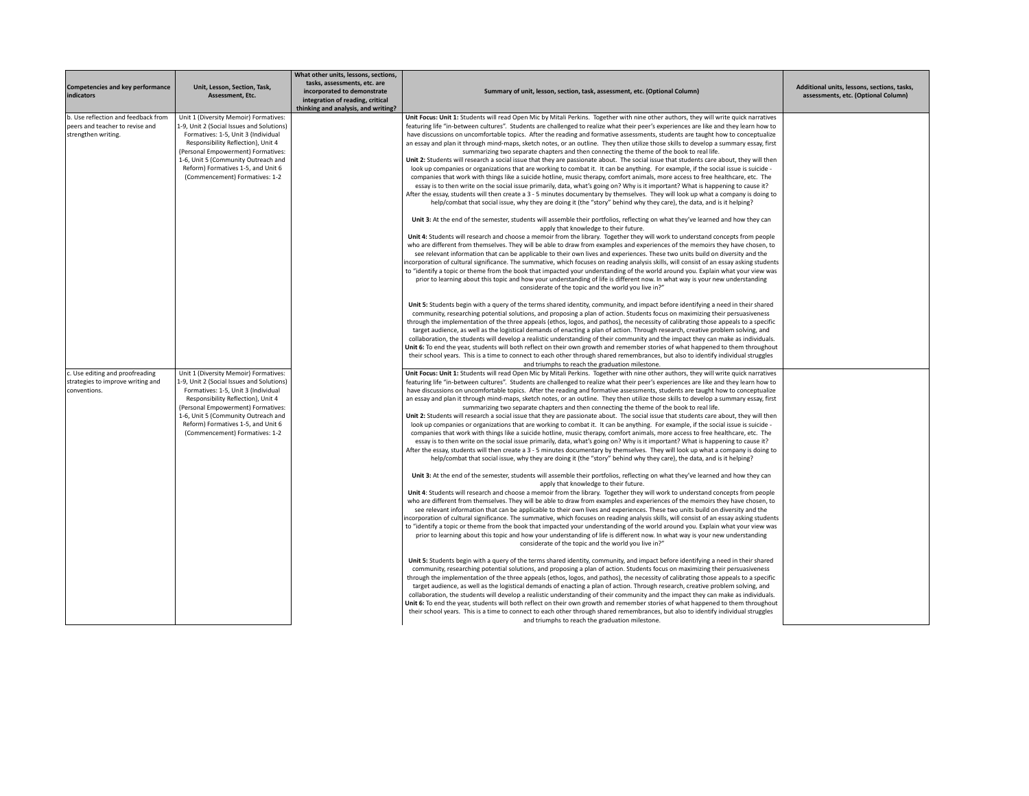| Competencies and key performance<br>indicators                                                | Unit, Lesson, Section, Task,<br>Assessment. Etc.                                                                                                                                                                                                                                                                     | What other units, lessons, sections,<br>tasks, assessments, etc. are<br>incorporated to demonstrate<br>integration of reading, critical<br>thinking and analysis, and writing? | Summary of unit, lesson, section, task, assessment, etc. (Optional Column)                                                                                                                                                                                                                                                                                                                                                                                                                                                                                                                                                                                                                                                                                                                                                                                                                                                                                                                                                                                                                                                                                                                                                                                                                                                                                                                                                                                                                                                                                                                                           | Additional units, lessons, sections, tasks,<br>assessments, etc. (Optional Column) |
|-----------------------------------------------------------------------------------------------|----------------------------------------------------------------------------------------------------------------------------------------------------------------------------------------------------------------------------------------------------------------------------------------------------------------------|--------------------------------------------------------------------------------------------------------------------------------------------------------------------------------|----------------------------------------------------------------------------------------------------------------------------------------------------------------------------------------------------------------------------------------------------------------------------------------------------------------------------------------------------------------------------------------------------------------------------------------------------------------------------------------------------------------------------------------------------------------------------------------------------------------------------------------------------------------------------------------------------------------------------------------------------------------------------------------------------------------------------------------------------------------------------------------------------------------------------------------------------------------------------------------------------------------------------------------------------------------------------------------------------------------------------------------------------------------------------------------------------------------------------------------------------------------------------------------------------------------------------------------------------------------------------------------------------------------------------------------------------------------------------------------------------------------------------------------------------------------------------------------------------------------------|------------------------------------------------------------------------------------|
| b. Use reflection and feedback from<br>peers and teacher to revise and<br>strengthen writing. | Unit 1 (Diversity Memoir) Formatives:<br>1-9, Unit 2 (Social Issues and Solutions)<br>Formatives: 1-5, Unit 3 (Individual<br>Responsibility Reflection), Unit 4<br>(Personal Empowerment) Formatives:<br>1-6, Unit 5 (Community Outreach and<br>Reform) Formatives 1-5, and Unit 6<br>(Commencement) Formatives: 1-2 |                                                                                                                                                                                | Unit Focus: Unit 1: Students will read Open Mic by Mitali Perkins. Together with nine other authors, they will write quick narratives<br>featuring life "in-between cultures". Students are challenged to realize what their peer's experiences are like and they learn how to<br>have discussions on uncomfortable topics. After the reading and formative assessments, students are taught how to conceptualize<br>an essay and plan it through mind-maps, sketch notes, or an outline. They then utilize those skills to develop a summary essay, first<br>summarizing two separate chapters and then connecting the theme of the book to real life.<br>Unit 2: Students will research a social issue that they are passionate about. The social issue that students care about, they will then<br>look up companies or organizations that are working to combat it. It can be anything. For example, if the social issue is suicide -<br>companies that work with things like a suicide hotline, music therapy, comfort animals, more access to free healthcare, etc. The<br>essay is to then write on the social issue primarily, data, what's going on? Why is it important? What is happening to cause it?<br>After the essay, students will then create a 3 - 5 minutes documentary by themselves. They will look up what a company is doing to                                                                                                                                                                                                                                                              |                                                                                    |
|                                                                                               |                                                                                                                                                                                                                                                                                                                      |                                                                                                                                                                                | help/combat that social issue, why they are doing it (the "story" behind why they care), the data, and is it helping?<br>Unit 3: At the end of the semester, students will assemble their portfolios, reflecting on what they've learned and how they can<br>apply that knowledge to their future.<br>Unit 4: Students will research and choose a memoir from the library. Together they will work to understand concepts from people<br>who are different from themselves. They will be able to draw from examples and experiences of the memoirs they have chosen, to<br>see relevant information that can be applicable to their own lives and experiences. These two units build on diversity and the<br>incorporation of cultural significance. The summative, which focuses on reading analysis skills, will consist of an essay asking students<br>to "identify a topic or theme from the book that impacted your understanding of the world around you. Explain what your view was<br>prior to learning about this topic and how your understanding of life is different now. In what way is your new understanding<br>considerate of the topic and the world you live in?"                                                                                                                                                                                                                                                                                                                                                                                                                                  |                                                                                    |
|                                                                                               |                                                                                                                                                                                                                                                                                                                      |                                                                                                                                                                                | Unit 5: Students begin with a query of the terms shared identity, community, and impact before identifying a need in their shared<br>community, researching potential solutions, and proposing a plan of action. Students focus on maximizing their persuasiveness<br>through the implementation of the three appeals (ethos, logos, and pathos), the necessity of calibrating those appeals to a specific<br>target audience, as well as the logistical demands of enacting a plan of action. Through research, creative problem solving, and<br>collaboration, the students will develop a realistic understanding of their community and the impact they can make as individuals.<br>Unit 6: To end the year, students will both reflect on their own growth and remember stories of what happened to them throughout<br>their school years. This is a time to connect to each other through shared remembrances, but also to identify individual struggles<br>and triumphs to reach the graduation milestone.                                                                                                                                                                                                                                                                                                                                                                                                                                                                                                                                                                                                    |                                                                                    |
| c. Use editing and proofreading<br>strategies to improve writing and<br>conventions.          | Unit 1 (Diversity Memoir) Formatives:<br>1-9, Unit 2 (Social Issues and Solutions)<br>Formatives: 1-5, Unit 3 (Individual<br>Responsibility Reflection), Unit 4<br>(Personal Empowerment) Formatives:<br>1-6, Unit 5 (Community Outreach and<br>Reform) Formatives 1-5, and Unit 6<br>(Commencement) Formatives: 1-2 |                                                                                                                                                                                | Unit Focus: Unit 1: Students will read Open Mic by Mitali Perkins. Together with nine other authors, they will write quick narratives<br>featuring life "in-between cultures". Students are challenged to realize what their peer's experiences are like and they learn how to<br>have discussions on uncomfortable topics. After the reading and formative assessments, students are taught how to conceptualize<br>an essay and plan it through mind-maps, sketch notes, or an outline. They then utilize those skills to develop a summary essay, first<br>summarizing two separate chapters and then connecting the theme of the book to real life.<br>Unit 2: Students will research a social issue that they are passionate about. The social issue that students care about, they will then<br>look up companies or organizations that are working to combat it. It can be anything. For example, if the social issue is suicide -<br>companies that work with things like a suicide hotline, music therapy, comfort animals, more access to free healthcare, etc. The<br>essay is to then write on the social issue primarily, data, what's going on? Why is it important? What is happening to cause it?<br>After the essay, students will then create a 3 - 5 minutes documentary by themselves. They will look up what a company is doing to<br>help/combat that social issue, why they are doing it (the "story" behind why they care), the data, and is it helping?<br>Unit 3: At the end of the semester, students will assemble their portfolios, reflecting on what they've learned and how they can |                                                                                    |
|                                                                                               |                                                                                                                                                                                                                                                                                                                      |                                                                                                                                                                                | apply that knowledge to their future.<br>Unit 4: Students will research and choose a memoir from the library. Together they will work to understand concepts from people<br>who are different from themselves. They will be able to draw from examples and experiences of the memoirs they have chosen, to<br>see relevant information that can be applicable to their own lives and experiences. These two units build on diversity and the<br>ncorporation of cultural significance. The summative, which focuses on reading analysis skills, will consist of an essay asking students<br>to "identify a topic or theme from the book that impacted your understanding of the world around you. Explain what your view was<br>prior to learning about this topic and how your understanding of life is different now. In what way is your new understanding<br>considerate of the topic and the world you live in?"                                                                                                                                                                                                                                                                                                                                                                                                                                                                                                                                                                                                                                                                                                |                                                                                    |
|                                                                                               |                                                                                                                                                                                                                                                                                                                      |                                                                                                                                                                                | Unit 5: Students begin with a query of the terms shared identity, community, and impact before identifying a need in their shared<br>community, researching potential solutions, and proposing a plan of action. Students focus on maximizing their persuasiveness<br>through the implementation of the three appeals (ethos, logos, and pathos), the necessity of calibrating those appeals to a specific<br>target audience, as well as the logistical demands of enacting a plan of action. Through research, creative problem solving, and<br>collaboration, the students will develop a realistic understanding of their community and the impact they can make as individuals.<br>Unit 6: To end the year, students will both reflect on their own growth and remember stories of what happened to them throughout<br>their school years. This is a time to connect to each other through shared remembrances, but also to identify individual struggles<br>and triumphs to reach the graduation milestone.                                                                                                                                                                                                                                                                                                                                                                                                                                                                                                                                                                                                    |                                                                                    |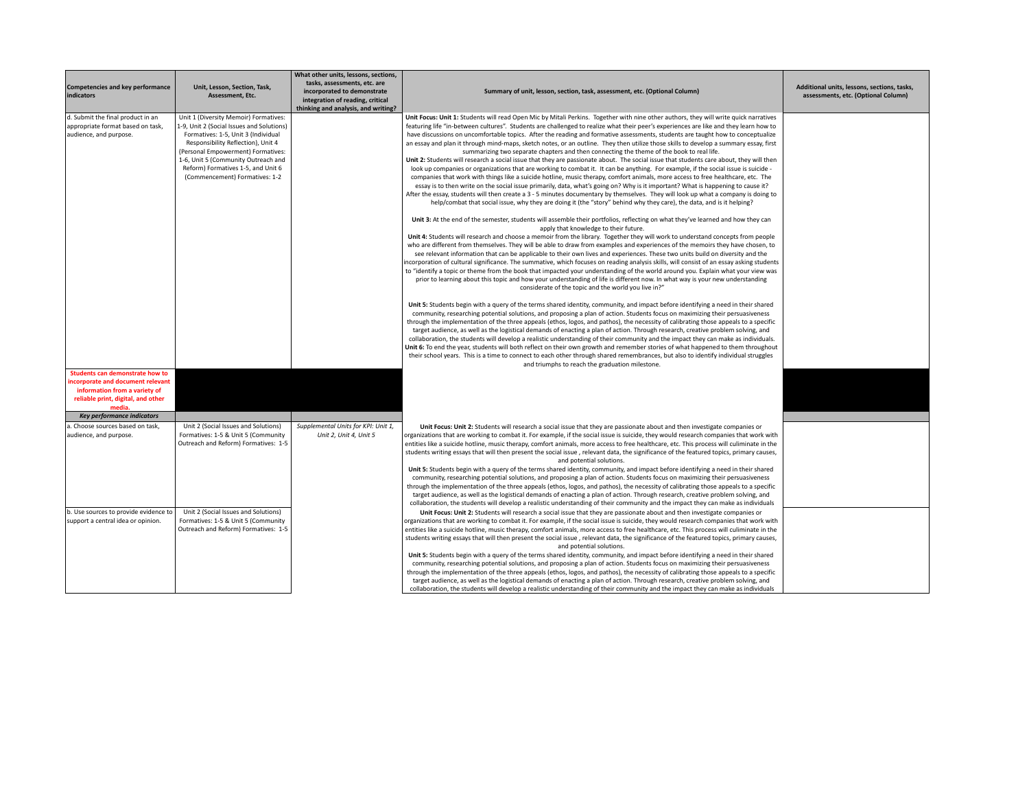| Competencies and key performance<br>indicators                                                                                                                                                                   | Unit, Lesson, Section, Task,<br>Assessment, Etc.                                                                                                                                                                                                                                                                     | What other units, lessons, sections,<br>tasks, assessments, etc. are<br>incorporated to demonstrate<br>integration of reading, critical<br>thinking and analysis, and writing? | Summary of unit, lesson, section, task, assessment, etc. (Optional Column)                                                                                                                                                                                                                                                                                                                                                                                                                                                                                                                                                                                                                                                                                                                                                                                                                                                                                                                                                                                                                                                                                                                                                                                                                                                                                                                                                                                                                                                                                                                                                                                                                                                                                                                                                                                                                                                                                                                                                                                                                                                                                                                                                                                                                                                                                                                                                                                                                                                                                                                                                                                                                                                                                                                                                                                                                                                                                                                                                                                                                                                                                                                                                                                                                                                                                                                                                                                                                                                                                          | Additional units, lessons, sections, tasks,<br>assessments, etc. (Optional Column) |
|------------------------------------------------------------------------------------------------------------------------------------------------------------------------------------------------------------------|----------------------------------------------------------------------------------------------------------------------------------------------------------------------------------------------------------------------------------------------------------------------------------------------------------------------|--------------------------------------------------------------------------------------------------------------------------------------------------------------------------------|---------------------------------------------------------------------------------------------------------------------------------------------------------------------------------------------------------------------------------------------------------------------------------------------------------------------------------------------------------------------------------------------------------------------------------------------------------------------------------------------------------------------------------------------------------------------------------------------------------------------------------------------------------------------------------------------------------------------------------------------------------------------------------------------------------------------------------------------------------------------------------------------------------------------------------------------------------------------------------------------------------------------------------------------------------------------------------------------------------------------------------------------------------------------------------------------------------------------------------------------------------------------------------------------------------------------------------------------------------------------------------------------------------------------------------------------------------------------------------------------------------------------------------------------------------------------------------------------------------------------------------------------------------------------------------------------------------------------------------------------------------------------------------------------------------------------------------------------------------------------------------------------------------------------------------------------------------------------------------------------------------------------------------------------------------------------------------------------------------------------------------------------------------------------------------------------------------------------------------------------------------------------------------------------------------------------------------------------------------------------------------------------------------------------------------------------------------------------------------------------------------------------------------------------------------------------------------------------------------------------------------------------------------------------------------------------------------------------------------------------------------------------------------------------------------------------------------------------------------------------------------------------------------------------------------------------------------------------------------------------------------------------------------------------------------------------------------------------------------------------------------------------------------------------------------------------------------------------------------------------------------------------------------------------------------------------------------------------------------------------------------------------------------------------------------------------------------------------------------------------------------------------------------------------------------------------|------------------------------------------------------------------------------------|
| d. Submit the final product in an<br>appropriate format based on task,<br>audience, and purpose.<br><b>Students can demonstrate how to</b><br>incorporate and document relevant<br>information from a variety of | Unit 1 (Diversity Memoir) Formatives:<br>1-9, Unit 2 (Social Issues and Solutions)<br>Formatives: 1-5, Unit 3 (Individual<br>Responsibility Reflection), Unit 4<br>(Personal Empowerment) Formatives:<br>1-6, Unit 5 (Community Outreach and<br>Reform) Formatives 1-5, and Unit 6<br>(Commencement) Formatives: 1-2 |                                                                                                                                                                                | Unit Focus: Unit 1: Students will read Open Mic by Mitali Perkins. Together with nine other authors, they will write quick narratives<br>featuring life "in-between cultures". Students are challenged to realize what their peer's experiences are like and they learn how to<br>have discussions on uncomfortable topics. After the reading and formative assessments, students are taught how to conceptualize<br>an essay and plan it through mind-maps, sketch notes, or an outline. They then utilize those skills to develop a summary essay, first<br>summarizing two separate chapters and then connecting the theme of the book to real life.<br>Unit 2: Students will research a social issue that they are passionate about. The social issue that students care about, they will then<br>look up companies or organizations that are working to combat it. It can be anything. For example, if the social issue is suicide -<br>companies that work with things like a suicide hotline, music therapy, comfort animals, more access to free healthcare, etc. The<br>essay is to then write on the social issue primarily, data, what's going on? Why is it important? What is happening to cause it?<br>After the essay, students will then create a 3 - 5 minutes documentary by themselves. They will look up what a company is doing to<br>help/combat that social issue, why they are doing it (the "story" behind why they care), the data, and is it helping?<br>Unit 3: At the end of the semester, students will assemble their portfolios, reflecting on what they've learned and how they can<br>apply that knowledge to their future.<br>Unit 4: Students will research and choose a memoir from the library. Together they will work to understand concepts from people<br>who are different from themselves. They will be able to draw from examples and experiences of the memoirs they have chosen, to<br>see relevant information that can be applicable to their own lives and experiences. These two units build on diversity and the<br>incorporation of cultural significance. The summative, which focuses on reading analysis skills, will consist of an essay asking students<br>to "identify a topic or theme from the book that impacted your understanding of the world around you. Explain what your view was<br>prior to learning about this topic and how your understanding of life is different now. In what way is your new understanding<br>considerate of the topic and the world you live in?"<br>Unit 5: Students begin with a query of the terms shared identity, community, and impact before identifying a need in their shared<br>community, researching potential solutions, and proposing a plan of action. Students focus on maximizing their persuasiveness<br>through the implementation of the three appeals (ethos, logos, and pathos), the necessity of calibrating those appeals to a specific<br>target audience, as well as the logistical demands of enacting a plan of action. Through research, creative problem solving, and<br>collaboration, the students will develop a realistic understanding of their community and the impact they can make as individuals.<br>Unit 6: To end the year, students will both reflect on their own growth and remember stories of what happened to them throughout<br>their school years. This is a time to connect to each other through shared remembrances, but also to identify individual struggles<br>and triumphs to reach the graduation milestone. |                                                                                    |
| reliable print, digital, and other<br>media.                                                                                                                                                                     |                                                                                                                                                                                                                                                                                                                      |                                                                                                                                                                                |                                                                                                                                                                                                                                                                                                                                                                                                                                                                                                                                                                                                                                                                                                                                                                                                                                                                                                                                                                                                                                                                                                                                                                                                                                                                                                                                                                                                                                                                                                                                                                                                                                                                                                                                                                                                                                                                                                                                                                                                                                                                                                                                                                                                                                                                                                                                                                                                                                                                                                                                                                                                                                                                                                                                                                                                                                                                                                                                                                                                                                                                                                                                                                                                                                                                                                                                                                                                                                                                                                                                                                     |                                                                                    |
| <b>Key performance indicators</b>                                                                                                                                                                                |                                                                                                                                                                                                                                                                                                                      |                                                                                                                                                                                |                                                                                                                                                                                                                                                                                                                                                                                                                                                                                                                                                                                                                                                                                                                                                                                                                                                                                                                                                                                                                                                                                                                                                                                                                                                                                                                                                                                                                                                                                                                                                                                                                                                                                                                                                                                                                                                                                                                                                                                                                                                                                                                                                                                                                                                                                                                                                                                                                                                                                                                                                                                                                                                                                                                                                                                                                                                                                                                                                                                                                                                                                                                                                                                                                                                                                                                                                                                                                                                                                                                                                                     |                                                                                    |
| a. Choose sources based on task,<br>audience, and purpose.                                                                                                                                                       | Unit 2 (Social Issues and Solutions)<br>Formatives: 1-5 & Unit 5 (Community<br>Outreach and Reform) Formatives: 1-5                                                                                                                                                                                                  | Supplemental Units for KPI: Unit 1,<br>Unit 2, Unit 4, Unit 5                                                                                                                  | Unit Focus: Unit 2: Students will research a social issue that they are passionate about and then investigate companies or<br>organizations that are working to combat it. For example, if the social issue is suicide, they would research companies that work with<br>entities like a suicide hotline, music therapy, comfort animals, more access to free healthcare, etc. This process will culiminate in the<br>students writing essays that will then present the social issue, relevant data, the significance of the featured topics, primary causes,<br>and potential solutions.<br>Unit 5: Students begin with a query of the terms shared identity, community, and impact before identifying a need in their shared<br>community, researching potential solutions, and proposing a plan of action. Students focus on maximizing their persuasiveness<br>through the implementation of the three appeals (ethos, logos, and pathos), the necessity of calibrating those appeals to a specific<br>target audience, as well as the logistical demands of enacting a plan of action. Through research, creative problem solving, and<br>collaboration, the students will develop a realistic understanding of their community and the impact they can make as individuals                                                                                                                                                                                                                                                                                                                                                                                                                                                                                                                                                                                                                                                                                                                                                                                                                                                                                                                                                                                                                                                                                                                                                                                                                                                                                                                                                                                                                                                                                                                                                                                                                                                                                                                                                                                                                                                                                                                                                                                                                                                                                                                                                                                                                                                                                    |                                                                                    |
| b. Use sources to provide evidence to<br>support a central idea or opinion.                                                                                                                                      | Unit 2 (Social Issues and Solutions)<br>Formatives: 1-5 & Unit 5 (Community<br>Outreach and Reform) Formatives: 1-5                                                                                                                                                                                                  |                                                                                                                                                                                | Unit Focus: Unit 2: Students will research a social issue that they are passionate about and then investigate companies or<br>organizations that are working to combat it. For example, if the social issue is suicide, they would research companies that work with<br>entities like a suicide hotline, music therapy, comfort animals, more access to free healthcare, etc. This process will culiminate in the<br>students writing essays that will then present the social issue, relevant data, the significance of the featured topics, primary causes,<br>and potential solutions.<br>Unit 5: Students begin with a query of the terms shared identity, community, and impact before identifying a need in their shared<br>community, researching potential solutions, and proposing a plan of action. Students focus on maximizing their persuasiveness<br>through the implementation of the three appeals (ethos, logos, and pathos), the necessity of calibrating those appeals to a specific<br>target audience, as well as the logistical demands of enacting a plan of action. Through research, creative problem solving, and<br>collaboration, the students will develop a realistic understanding of their community and the impact they can make as individuals                                                                                                                                                                                                                                                                                                                                                                                                                                                                                                                                                                                                                                                                                                                                                                                                                                                                                                                                                                                                                                                                                                                                                                                                                                                                                                                                                                                                                                                                                                                                                                                                                                                                                                                                                                                                                                                                                                                                                                                                                                                                                                                                                                                                                                                                                    |                                                                                    |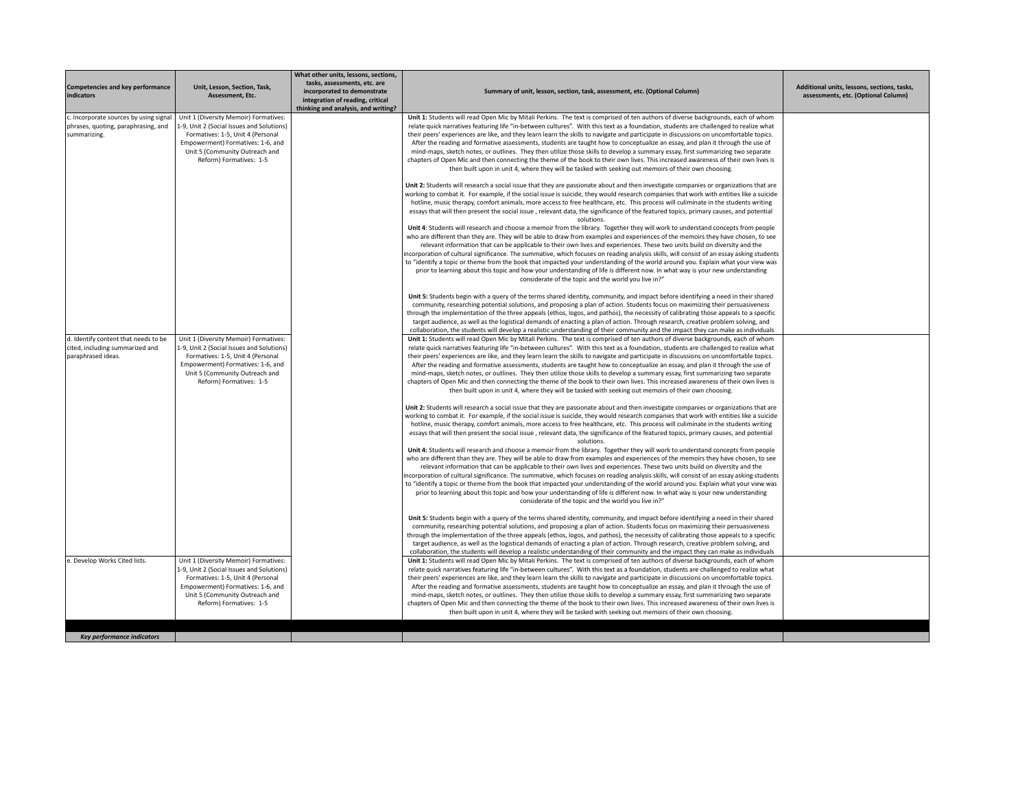| Competencies and key performance<br>indicators                                                | Unit, Lesson, Section, Task,<br>Assessment, Etc.                                                                                                                                                                          | What other units, lessons, sections,<br>tasks, assessments, etc. are<br>incorporated to demonstrate<br>integration of reading, critical<br>thinking and analysis, and writing? | Summary of unit, lesson, section, task, assessment, etc. (Optional Column)                                                                                                                                                                                                                                                                                                                                                                                                                                                                                                                                                                                                                                                                                                                                                                                                                                                            | Additional units, lessons, sections, tasks,<br>assessments, etc. (Optional Column) |
|-----------------------------------------------------------------------------------------------|---------------------------------------------------------------------------------------------------------------------------------------------------------------------------------------------------------------------------|--------------------------------------------------------------------------------------------------------------------------------------------------------------------------------|---------------------------------------------------------------------------------------------------------------------------------------------------------------------------------------------------------------------------------------------------------------------------------------------------------------------------------------------------------------------------------------------------------------------------------------------------------------------------------------------------------------------------------------------------------------------------------------------------------------------------------------------------------------------------------------------------------------------------------------------------------------------------------------------------------------------------------------------------------------------------------------------------------------------------------------|------------------------------------------------------------------------------------|
| c. Incorporate sources by using signal<br>phrases, quoting, paraphrasing, and<br>summarizing. | Unit 1 (Diversity Memoir) Formatives:<br>1-9, Unit 2 (Social Issues and Solutions)<br>Formatives: 1-5, Unit 4 (Personal<br>Empowerment) Formatives: 1-6, and<br>Unit 5 (Community Outreach and<br>Reform) Formatives: 1-5 |                                                                                                                                                                                | Unit 1: Students will read Open Mic by Mitali Perkins. The text is comprised of ten authors of diverse backgrounds, each of whom<br>relate quick narratives featuring life "in-between cultures". With this text as a foundation, students are challenged to realize what<br>their peers' experiences are like, and they learn learn the skills to navigate and participate in discussions on uncomfortable topics.<br>After the reading and formative assessments, students are taught how to conceptualize an essay, and plan it through the use of<br>mind-maps, sketch notes, or outlines. They then utilize those skills to develop a summary essay, first summarizing two separate<br>chapters of Open Mic and then connecting the theme of the book to their own lives. This increased awareness of their own lives is<br>then built upon in unit 4, where they will be tasked with seeking out memoirs of their own choosing. |                                                                                    |
|                                                                                               |                                                                                                                                                                                                                           |                                                                                                                                                                                | Unit 2: Students will research a social issue that they are passionate about and then investigate companies or organizations that are<br>working to combat it. For example, if the social issue is suicide, they would research companies that work with entities like a suicide<br>hotline, music therapy, comfort animals, more access to free healthcare, etc. This process will culiminate in the students writing<br>essays that will then present the social issue, relevant data, the significance of the featured topics, primary causes, and potential<br>solutions.<br>Unit 4: Students will research and choose a memoir from the library. Together they will work to understand concepts from people                                                                                                                                                                                                                      |                                                                                    |
|                                                                                               |                                                                                                                                                                                                                           |                                                                                                                                                                                | who are different than they are. They will be able to draw from examples and experiences of the memoirs they have chosen, to see<br>relevant information that can be applicable to their own lives and experiences. These two units build on diversity and the<br>incorporation of cultural significance. The summative, which focuses on reading analysis skills, will consist of an essay asking students<br>to "identify a topic or theme from the book that impacted your understanding of the world around you. Explain what your view was<br>prior to learning about this topic and how your understanding of life is different now. In what way is your new understanding<br>considerate of the topic and the world you live in?"                                                                                                                                                                                              |                                                                                    |
| d. Identify content that needs to be                                                          | Unit 1 (Diversity Memoir) Formatives:                                                                                                                                                                                     |                                                                                                                                                                                | Unit 5: Students begin with a query of the terms shared identity, community, and impact before identifying a need in their shared<br>community, researching potential solutions, and proposing a plan of action. Students focus on maximizing their persuasiveness<br>through the implementation of the three appeals (ethos, logos, and pathos), the necessity of calibrating those appeals to a specific<br>target audience, as well as the logistical demands of enacting a plan of action. Through research, creative problem solving, and<br>collaboration, the students will develop a realistic understanding of their community and the impact they can make as individuals<br>Unit 1: Students will read Open Mic by Mitali Perkins. The text is comprised of ten authors of diverse backgrounds, each of whom                                                                                                               |                                                                                    |
| cited, including summarized and<br>paraphrased ideas.                                         | 1-9, Unit 2 (Social Issues and Solutions)<br>Formatives: 1-5, Unit 4 (Personal<br>Empowerment) Formatives: 1-6, and<br>Unit 5 (Community Outreach and<br>Reform) Formatives: 1-5                                          |                                                                                                                                                                                | relate quick narratives featuring life "in-between cultures". With this text as a foundation, students are challenged to realize what<br>their peers' experiences are like, and they learn learn the skills to navigate and participate in discussions on uncomfortable topics.<br>After the reading and formative assessments, students are taught how to conceptualize an essay, and plan it through the use of<br>mind-maps, sketch notes, or outlines. They then utilize those skills to develop a summary essay, first summarizing two separate<br>chapters of Open Mic and then connecting the theme of the book to their own lives. This increased awareness of their own lives is<br>then built upon in unit 4, where they will be tasked with seeking out memoirs of their own choosing.                                                                                                                                     |                                                                                    |
|                                                                                               |                                                                                                                                                                                                                           |                                                                                                                                                                                | Unit 2: Students will research a social issue that they are passionate about and then investigate companies or organizations that are<br>working to combat it. For example, if the social issue is suicide, they would research companies that work with entities like a suicide<br>hotline, music therapy, comfort animals, more access to free healthcare, etc. This process will culiminate in the students writing<br>essays that will then present the social issue, relevant data, the significance of the featured topics, primary causes, and potential<br>solutions.<br>Unit 4: Students will research and choose a memoir from the library. Together they will work to understand concepts from people                                                                                                                                                                                                                      |                                                                                    |
|                                                                                               |                                                                                                                                                                                                                           |                                                                                                                                                                                | who are different than they are. They will be able to draw from examples and experiences of the memoirs they have chosen, to see<br>relevant information that can be applicable to their own lives and experiences. These two units build on diversity and the<br>incorporation of cultural significance. The summative, which focuses on reading analysis skills, will consist of an essay asking students<br>to "identify a topic or theme from the book that impacted your understanding of the world around you. Explain what your view was<br>prior to learning about this topic and how your understanding of life is different now. In what way is your new understanding<br>considerate of the topic and the world you live in?"                                                                                                                                                                                              |                                                                                    |
|                                                                                               |                                                                                                                                                                                                                           |                                                                                                                                                                                | Unit 5: Students begin with a query of the terms shared identity, community, and impact before identifying a need in their shared<br>community, researching potential solutions, and proposing a plan of action. Students focus on maximizing their persuasiveness<br>through the implementation of the three appeals (ethos, logos, and pathos), the necessity of calibrating those appeals to a specific<br>target audience, as well as the logistical demands of enacting a plan of action. Through research, creative problem solving, and<br>collaboration, the students will develop a realistic understanding of their community and the impact they can make as individuals                                                                                                                                                                                                                                                   |                                                                                    |
| e. Develop Works Cited lists.                                                                 | Unit 1 (Diversity Memoir) Formatives:<br>1-9, Unit 2 (Social Issues and Solutions)<br>Formatives: 1-5, Unit 4 (Personal<br>Empowerment) Formatives: 1-6, and<br>Unit 5 (Community Outreach and<br>Reform) Formatives: 1-5 |                                                                                                                                                                                | Unit 1: Students will read Open Mic by Mitali Perkins. The text is comprised of ten authors of diverse backgrounds, each of whom<br>relate quick narratives featuring life "in-between cultures". With this text as a foundation, students are challenged to realize what<br>their peers' experiences are like, and they learn learn the skills to navigate and participate in discussions on uncomfortable topics.<br>After the reading and formative assessments, students are taught how to conceptualize an essay, and plan it through the use of<br>mind-maps, sketch notes, or outlines. They then utilize those skills to develop a summary essay, first summarizing two separate<br>chapters of Open Mic and then connecting the theme of the book to their own lives. This increased awareness of their own lives is<br>then built upon in unit 4, where they will be tasked with seeking out memoirs of their own choosing. |                                                                                    |
| Key performance indicators                                                                    |                                                                                                                                                                                                                           |                                                                                                                                                                                |                                                                                                                                                                                                                                                                                                                                                                                                                                                                                                                                                                                                                                                                                                                                                                                                                                                                                                                                       |                                                                                    |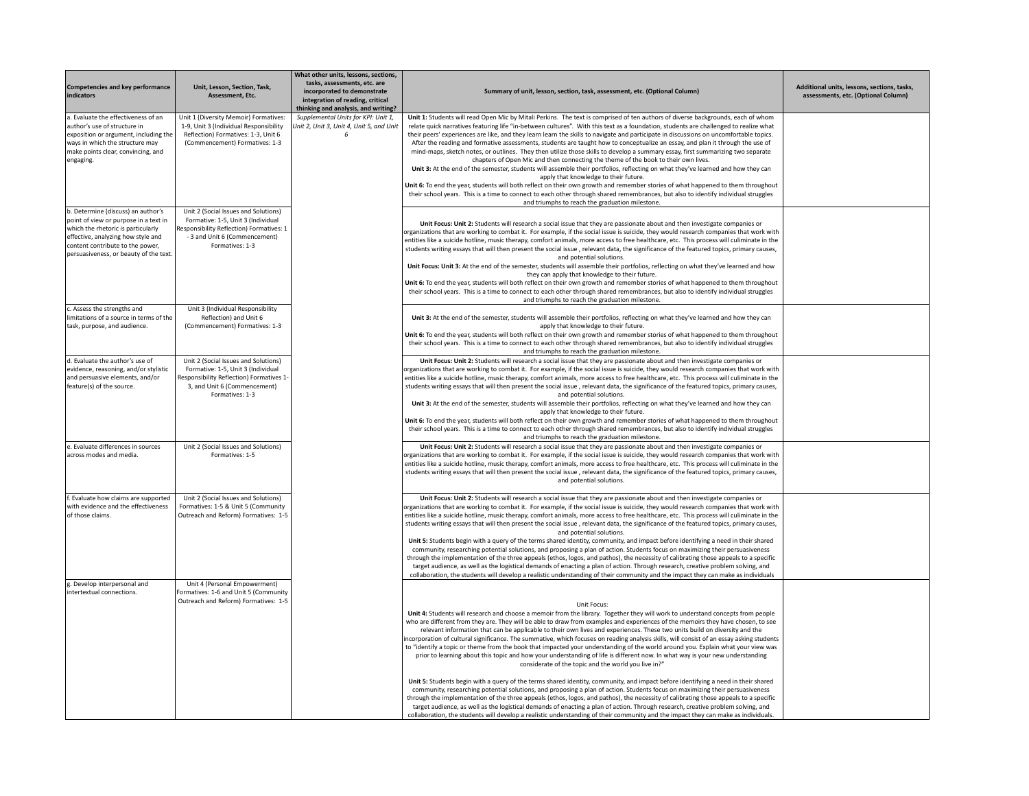| Competencies and key performance<br>indicators                                                                                                                                                                                        | Unit, Lesson, Section, Task,<br>Assessment, Etc.                                                                                                                           | What other units, lessons, sections,<br>tasks, assessments, etc. are<br>incorporated to demonstrate<br>integration of reading, critical<br>thinking and analysis, and writing? | Summary of unit, lesson, section, task, assessment, etc. (Optional Column)                                                                                                                                                                                                                                                                                                                                                                                                                                                                                                                                                                                                                                                                                                                                                                                                                                                                                                                                                                                                                                                                                                                                                                                                               | Additional units, lessons, sections, tasks,<br>assessments, etc. (Optional Column) |
|---------------------------------------------------------------------------------------------------------------------------------------------------------------------------------------------------------------------------------------|----------------------------------------------------------------------------------------------------------------------------------------------------------------------------|--------------------------------------------------------------------------------------------------------------------------------------------------------------------------------|------------------------------------------------------------------------------------------------------------------------------------------------------------------------------------------------------------------------------------------------------------------------------------------------------------------------------------------------------------------------------------------------------------------------------------------------------------------------------------------------------------------------------------------------------------------------------------------------------------------------------------------------------------------------------------------------------------------------------------------------------------------------------------------------------------------------------------------------------------------------------------------------------------------------------------------------------------------------------------------------------------------------------------------------------------------------------------------------------------------------------------------------------------------------------------------------------------------------------------------------------------------------------------------|------------------------------------------------------------------------------------|
| a. Evaluate the effectiveness of an<br>author's use of structure in<br>exposition or argument, including the<br>ways in which the structure may<br>make points clear, convincing, and<br>engaging.                                    | Unit 1 (Diversity Memoir) Formatives:<br>1-9, Unit 3 (Individual Responsibility<br>Reflection) Formatives: 1-3, Unit 6<br>(Commencement) Formatives: 1-3                   | Supplemental Units for KPI: Unit 1,<br>Unit 2, Unit 3, Unit 4, Unit 5, and Unit<br>6                                                                                           | Unit 1: Students will read Open Mic by Mitali Perkins. The text is comprised of ten authors of diverse backgrounds, each of whom<br>relate quick narratives featuring life "in-between cultures". With this text as a foundation, students are challenged to realize what<br>their peers' experiences are like, and they learn learn the skills to navigate and participate in discussions on uncomfortable topics.<br>After the reading and formative assessments, students are taught how to conceptualize an essay, and plan it through the use of<br>mind-maps, sketch notes, or outlines. They then utilize those skills to develop a summary essay, first summarizing two separate<br>chapters of Open Mic and then connecting the theme of the book to their own lives.<br>Unit 3: At the end of the semester, students will assemble their portfolios, reflecting on what they've learned and how they can<br>apply that knowledge to their future.<br>Unit 6: To end the year, students will both reflect on their own growth and remember stories of what happened to them throughout<br>their school years. This is a time to connect to each other through shared remembrances, but also to identify individual struggles<br>and triumphs to reach the graduation milestone. |                                                                                    |
| b. Determine (discuss) an author's<br>point of view or purpose in a text in<br>which the rhetoric is particularly<br>effective, analyzing how style and<br>content contribute to the power,<br>persuasiveness, or beauty of the text. | Unit 2 (Social Issues and Solutions)<br>Formative: 1-5, Unit 3 (Individual<br>Responsibility Reflection) Formatives: 1<br>- 3 and Unit 6 (Commencement)<br>Formatives: 1-3 |                                                                                                                                                                                | Unit Focus: Unit 2: Students will research a social issue that they are passionate about and then investigate companies or<br>organizations that are working to combat it. For example, if the social issue is suicide, they would research companies that work with<br>entities like a suicide hotline, music therapy, comfort animals, more access to free healthcare, etc. This process will culiminate in the<br>students writing essays that will then present the social issue, relevant data, the significance of the featured topics, primary causes,<br>and potential solutions.<br>Unit Focus: Unit 3: At the end of the semester, students will assemble their portfolios, reflecting on what they've learned and how<br>they can apply that knowledge to their future.<br>Unit 6: To end the year, students will both reflect on their own growth and remember stories of what happened to them throughout<br>their school years. This is a time to connect to each other through shared remembrances, but also to identify individual struggles<br>and triumphs to reach the graduation milestone.                                                                                                                                                                          |                                                                                    |
| c. Assess the strengths and<br>limitations of a source in terms of the<br>task, purpose, and audience.                                                                                                                                | Unit 3 (Individual Responsibility<br>Reflection) and Unit 6<br>(Commencement) Formatives: 1-3                                                                              |                                                                                                                                                                                | Unit 3: At the end of the semester, students will assemble their portfolios, reflecting on what they've learned and how they can<br>apply that knowledge to their future.<br>Unit 6: To end the year, students will both reflect on their own growth and remember stories of what happened to them throughout<br>their school years. This is a time to connect to each other through shared remembrances, but also to identify individual struggles<br>and triumphs to reach the graduation milestone.                                                                                                                                                                                                                                                                                                                                                                                                                                                                                                                                                                                                                                                                                                                                                                                   |                                                                                    |
| d. Evaluate the author's use of<br>evidence, reasoning, and/or stylistic<br>and persuasive elements, and/or<br>feature(s) of the source.                                                                                              | Unit 2 (Social Issues and Solutions)<br>Formative: 1-5, Unit 3 (Individual<br>Responsibility Reflection) Formatives 1-<br>3, and Unit 6 (Commencement)<br>Formatives: 1-3  |                                                                                                                                                                                | Unit Focus: Unit 2: Students will research a social issue that they are passionate about and then investigate companies or<br>organizations that are working to combat it. For example, if the social issue is suicide, they would research companies that work with<br>entities like a suicide hotline, music therapy, comfort animals, more access to free healthcare, etc. This process will culiminate in the<br>students writing essays that will then present the social issue, relevant data, the significance of the featured topics, primary causes,<br>and potential solutions.<br>Unit 3: At the end of the semester, students will assemble their portfolios, reflecting on what they've learned and how they can<br>apply that knowledge to their future.<br>Unit 6: To end the year, students will both reflect on their own growth and remember stories of what happened to them throughout<br>their school years. This is a time to connect to each other through shared remembrances, but also to identify individual struggles<br>and triumphs to reach the graduation milestone.                                                                                                                                                                                      |                                                                                    |
| e. Evaluate differences in sources<br>across modes and media.                                                                                                                                                                         | Unit 2 (Social Issues and Solutions)<br>Formatives: 1-5                                                                                                                    |                                                                                                                                                                                | Unit Focus: Unit 2: Students will research a social issue that they are passionate about and then investigate companies or<br>organizations that are working to combat it. For example, if the social issue is suicide, they would research companies that work with<br>entities like a suicide hotline, music therapy, comfort animals, more access to free healthcare, etc. This process will culiminate in the<br>students writing essays that will then present the social issue, relevant data, the significance of the featured topics, primary causes,<br>and potential solutions.                                                                                                                                                                                                                                                                                                                                                                                                                                                                                                                                                                                                                                                                                                |                                                                                    |
| f. Evaluate how claims are supported<br>with evidence and the effectiveness<br>of those claims.                                                                                                                                       | Unit 2 (Social Issues and Solutions)<br>Formatives: 1-5 & Unit 5 (Community<br>Outreach and Reform) Formatives: 1-5                                                        |                                                                                                                                                                                | Unit Focus: Unit 2: Students will research a social issue that they are passionate about and then investigate companies or<br>organizations that are working to combat it. For example, if the social issue is suicide, they would research companies that work with<br>entities like a suicide hotline, music therapy, comfort animals, more access to free healthcare, etc. This process will culiminate in the<br>students writing essays that will then present the social issue, relevant data, the significance of the featured topics, primary causes,<br>and potential solutions.<br>Unit 5: Students begin with a query of the terms shared identity, community, and impact before identifying a need in their shared<br>community, researching potential solutions, and proposing a plan of action. Students focus on maximizing their persuasiveness<br>through the implementation of the three appeals (ethos, logos, and pathos), the necessity of calibrating those appeals to a specific<br>target audience, as well as the logistical demands of enacting a plan of action. Through research, creative problem solving, and<br>collaboration, the students will develop a realistic understanding of their community and the impact they can make as individuals         |                                                                                    |
| g. Develop interpersonal and<br>intertextual connections.                                                                                                                                                                             | Unit 4 (Personal Empowerment)<br>Formatives: 1-6 and Unit 5 (Community<br>Outreach and Reform) Formatives: 1-5                                                             |                                                                                                                                                                                | Unit Focus:<br>Unit 4: Students will research and choose a memoir from the library. Together they will work to understand concepts from people<br>who are different from they are. They will be able to draw from examples and experiences of the memoirs they have chosen, to see<br>relevant information that can be applicable to their own lives and experiences. These two units build on diversity and the<br>incorporation of cultural significance. The summative, which focuses on reading analysis skills, will consist of an essay asking students<br>to "identify a topic or theme from the book that impacted your understanding of the world around you. Explain what your view was<br>prior to learning about this topic and how your understanding of life is different now. In what way is your new understanding<br>considerate of the topic and the world you live in?"<br>Unit 5: Students begin with a query of the terms shared identity, community, and impact before identifying a need in their shared<br>community, researching potential solutions, and proposing a plan of action. Students focus on maximizing their persuasiveness                                                                                                                         |                                                                                    |
|                                                                                                                                                                                                                                       |                                                                                                                                                                            |                                                                                                                                                                                | through the implementation of the three appeals (ethos, logos, and pathos), the necessity of calibrating those appeals to a specific<br>target audience, as well as the logistical demands of enacting a plan of action. Through research, creative problem solving, and<br>collaboration, the students will develop a realistic understanding of their community and the impact they can make as individuals.                                                                                                                                                                                                                                                                                                                                                                                                                                                                                                                                                                                                                                                                                                                                                                                                                                                                           |                                                                                    |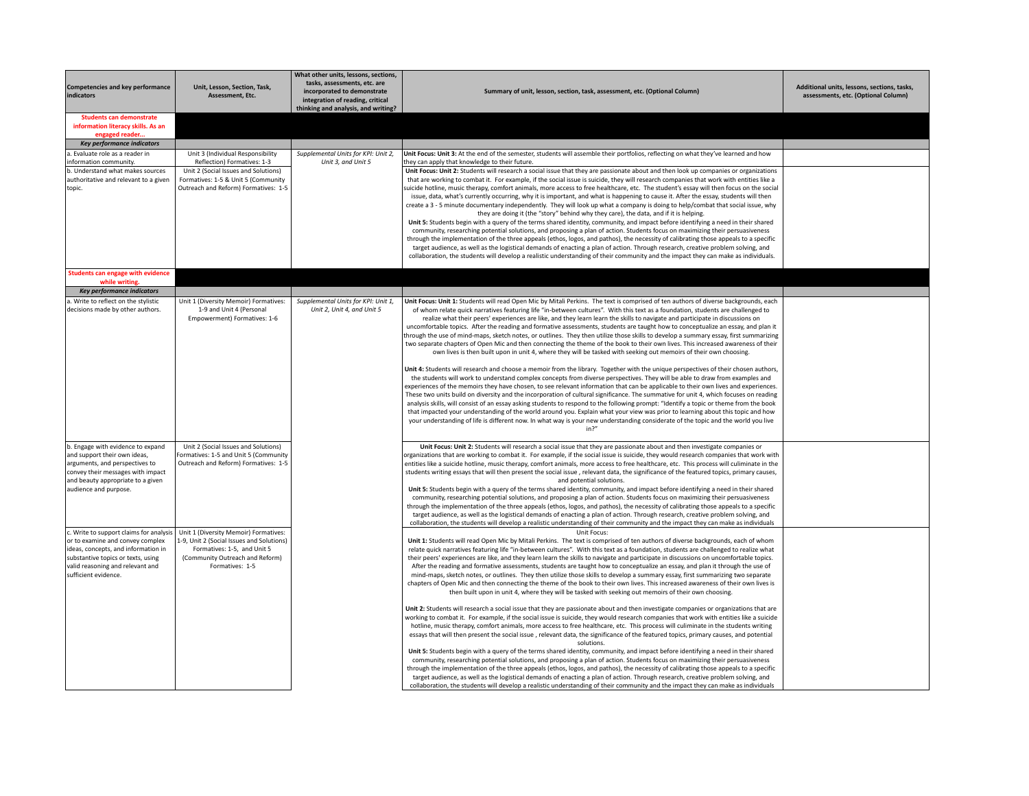| <b>Competencies and key performance</b>                                                                                                                                                                              | Unit, Lesson, Section, Task,                                                                                                                                            | What other units, lessons, sections,<br>tasks, assessments, etc. are<br>incorporated to demonstrate | Summary of unit, lesson, section, task, assessment, etc. (Optional Column)                                                                                                                                                                                                                                                                                                                                                                                                                                                                                                                                                                                                                                                                                                                                                                                                                                                                                                                                                                                                                                                                                                                                                                                                                                                                                                                                                                                                                                                                                                                                                                                                                                                                                                                                                                                                                                                                                                                                                                                                                                                                                                                                                   | Additional units, lessons, sections, tasks, |
|----------------------------------------------------------------------------------------------------------------------------------------------------------------------------------------------------------------------|-------------------------------------------------------------------------------------------------------------------------------------------------------------------------|-----------------------------------------------------------------------------------------------------|------------------------------------------------------------------------------------------------------------------------------------------------------------------------------------------------------------------------------------------------------------------------------------------------------------------------------------------------------------------------------------------------------------------------------------------------------------------------------------------------------------------------------------------------------------------------------------------------------------------------------------------------------------------------------------------------------------------------------------------------------------------------------------------------------------------------------------------------------------------------------------------------------------------------------------------------------------------------------------------------------------------------------------------------------------------------------------------------------------------------------------------------------------------------------------------------------------------------------------------------------------------------------------------------------------------------------------------------------------------------------------------------------------------------------------------------------------------------------------------------------------------------------------------------------------------------------------------------------------------------------------------------------------------------------------------------------------------------------------------------------------------------------------------------------------------------------------------------------------------------------------------------------------------------------------------------------------------------------------------------------------------------------------------------------------------------------------------------------------------------------------------------------------------------------------------------------------------------------|---------------------------------------------|
| indicators                                                                                                                                                                                                           | Assessment, Etc.                                                                                                                                                        | integration of reading, critical<br>thinking and analysis, and writing?                             |                                                                                                                                                                                                                                                                                                                                                                                                                                                                                                                                                                                                                                                                                                                                                                                                                                                                                                                                                                                                                                                                                                                                                                                                                                                                                                                                                                                                                                                                                                                                                                                                                                                                                                                                                                                                                                                                                                                                                                                                                                                                                                                                                                                                                              | assessments, etc. (Optional Column)         |
| <b>Students can demonstrate</b><br>information literacy skills. As an<br>engaged reader                                                                                                                              |                                                                                                                                                                         |                                                                                                     |                                                                                                                                                                                                                                                                                                                                                                                                                                                                                                                                                                                                                                                                                                                                                                                                                                                                                                                                                                                                                                                                                                                                                                                                                                                                                                                                                                                                                                                                                                                                                                                                                                                                                                                                                                                                                                                                                                                                                                                                                                                                                                                                                                                                                              |                                             |
| <b>Key performance indicators</b>                                                                                                                                                                                    |                                                                                                                                                                         |                                                                                                     |                                                                                                                                                                                                                                                                                                                                                                                                                                                                                                                                                                                                                                                                                                                                                                                                                                                                                                                                                                                                                                                                                                                                                                                                                                                                                                                                                                                                                                                                                                                                                                                                                                                                                                                                                                                                                                                                                                                                                                                                                                                                                                                                                                                                                              |                                             |
| a. Evaluate role as a reader in<br>information community.                                                                                                                                                            | Unit 3 (Individual Responsibility<br>Reflection) Formatives: 1-3                                                                                                        | Supplemental Units for KPI: Unit 2,<br>Unit 3, and Unit 5                                           | Unit Focus: Unit 3: At the end of the semester, students will assemble their portfolios, reflecting on what they've learned and how<br>they can apply that knowledge to their future.                                                                                                                                                                                                                                                                                                                                                                                                                                                                                                                                                                                                                                                                                                                                                                                                                                                                                                                                                                                                                                                                                                                                                                                                                                                                                                                                                                                                                                                                                                                                                                                                                                                                                                                                                                                                                                                                                                                                                                                                                                        |                                             |
| b. Understand what makes sources<br>authoritative and relevant to a given<br>topic.                                                                                                                                  | Unit 2 (Social Issues and Solutions)<br>Formatives: 1-5 & Unit 5 (Community<br>Outreach and Reform) Formatives: 1-5                                                     |                                                                                                     | Unit Focus: Unit 2: Students will research a social issue that they are passionate about and then look up companies or organizations<br>that are working to combat it. For example, if the social issue is suicide, they will research companies that work with entities like a<br>suicide hotline, music therapy, comfort animals, more access to free healthcare, etc. The student's essay will then focus on the social<br>issue, data, what's currently occurring, why it is important, and what is happening to cause it. After the essay, students will then<br>create a 3 - 5 minute documentary independently. They will look up what a company is doing to help/combat that social issue, why<br>they are doing it (the "story" behind why they care), the data, and if it is helping.<br>Unit 5: Students begin with a query of the terms shared identity, community, and impact before identifying a need in their shared<br>community, researching potential solutions, and proposing a plan of action. Students focus on maximizing their persuasiveness<br>through the implementation of the three appeals (ethos, logos, and pathos), the necessity of calibrating those appeals to a specific<br>target audience, as well as the logistical demands of enacting a plan of action. Through research, creative problem solving, and<br>collaboration, the students will develop a realistic understanding of their community and the impact they can make as individuals.                                                                                                                                                                                                                                                                                                                                                                                                                                                                                                                                                                                                                                                                                                                                      |                                             |
| Students can engage with evidence<br>while writing                                                                                                                                                                   |                                                                                                                                                                         |                                                                                                     |                                                                                                                                                                                                                                                                                                                                                                                                                                                                                                                                                                                                                                                                                                                                                                                                                                                                                                                                                                                                                                                                                                                                                                                                                                                                                                                                                                                                                                                                                                                                                                                                                                                                                                                                                                                                                                                                                                                                                                                                                                                                                                                                                                                                                              |                                             |
| Key performance indicators                                                                                                                                                                                           |                                                                                                                                                                         |                                                                                                     |                                                                                                                                                                                                                                                                                                                                                                                                                                                                                                                                                                                                                                                                                                                                                                                                                                                                                                                                                                                                                                                                                                                                                                                                                                                                                                                                                                                                                                                                                                                                                                                                                                                                                                                                                                                                                                                                                                                                                                                                                                                                                                                                                                                                                              |                                             |
| a. Write to reflect on the stylistic<br>decisions made by other authors.                                                                                                                                             | Unit 1 (Diversity Memoir) Formatives:<br>1-9 and Unit 4 (Personal<br>Empowerment) Formatives: 1-6                                                                       | Supplemental Units for KPI: Unit 1,<br>Unit 2, Unit 4, and Unit 5                                   | Unit Focus: Unit 1: Students will read Open Mic by Mitali Perkins. The text is comprised of ten authors of diverse backgrounds, each<br>of whom relate quick narratives featuring life "in-between cultures". With this text as a foundation, students are challenged to<br>realize what their peers' experiences are like, and they learn learn the skills to navigate and participate in discussions on<br>uncomfortable topics. After the reading and formative assessments, students are taught how to conceptualize an essay, and plan it<br>through the use of mind-maps, sketch notes, or outlines. They then utilize those skills to develop a summary essay, first summarizing<br>two separate chapters of Open Mic and then connecting the theme of the book to their own lives. This increased awareness of their<br>own lives is then built upon in unit 4, where they will be tasked with seeking out memoirs of their own choosing.<br>Unit 4: Students will research and choose a memoir from the library. Together with the unique perspectives of their chosen authors,<br>the students will work to understand complex concepts from diverse perspectives. They will be able to draw from examples and<br>experiences of the memoirs they have chosen, to see relevant information that can be applicable to their own lives and experiences.<br>These two units build on diversity and the incorporation of cultural significance. The summative for unit 4, which focuses on reading<br>analysis skills, will consist of an essay asking students to respond to the following prompt: "Identify a topic or theme from the book<br>that impacted your understanding of the world around you. Explain what your view was prior to learning about this topic and how<br>your understanding of life is different now. In what way is your new understanding considerate of the topic and the world you live                                                                                                                                                                                                                                                                                                  |                                             |
| b. Engage with evidence to expand<br>and support their own ideas,<br>arguments, and perspectives to<br>convey their messages with impact<br>and beauty appropriate to a given<br>audience and purpose.               | Unit 2 (Social Issues and Solutions)<br>Formatives: 1-5 and Unit 5 (Community<br>Outreach and Reform) Formatives: 1-5                                                   |                                                                                                     | in <sup>2</sup><br>Unit Focus: Unit 2: Students will research a social issue that they are passionate about and then investigate companies or<br>organizations that are working to combat it. For example, if the social issue is suicide, they would research companies that work with<br>entities like a suicide hotline, music therapy, comfort animals, more access to free healthcare, etc. This process will culiminate in the<br>students writing essays that will then present the social issue, relevant data, the significance of the featured topics, primary causes,<br>and potential solutions.<br>Unit 5: Students begin with a query of the terms shared identity, community, and impact before identifying a need in their shared<br>community, researching potential solutions, and proposing a plan of action. Students focus on maximizing their persuasiveness<br>through the implementation of the three appeals (ethos, logos, and pathos), the necessity of calibrating those appeals to a specific<br>target audience, as well as the logistical demands of enacting a plan of action. Through research, creative problem solving, and<br>collaboration, the students will develop a realistic understanding of their community and the impact they can make as individuals                                                                                                                                                                                                                                                                                                                                                                                                                                                                                                                                                                                                                                                                                                                                                                                                                                                                                                                          |                                             |
| c. Write to support claims for analysis<br>or to examine and convey complex<br>ideas, concepts, and information in<br>substantive topics or texts, using<br>valid reasoning and relevant and<br>sufficient evidence. | Unit 1 (Diversity Memoir) Formatives:<br>1-9, Unit 2 (Social Issues and Solutions)<br>Formatives: 1-5, and Unit 5<br>(Community Outreach and Reform)<br>Formatives: 1-5 |                                                                                                     | Unit Focus:<br>Unit 1: Students will read Open Mic by Mitali Perkins. The text is comprised of ten authors of diverse backgrounds, each of whom<br>relate quick narratives featuring life "in-between cultures". With this text as a foundation, students are challenged to realize what<br>their peers' experiences are like, and they learn learn the skills to navigate and participate in discussions on uncomfortable topics.<br>After the reading and formative assessments, students are taught how to conceptualize an essay, and plan it through the use of<br>mind-maps, sketch notes, or outlines. They then utilize those skills to develop a summary essay, first summarizing two separate<br>chapters of Open Mic and then connecting the theme of the book to their own lives. This increased awareness of their own lives is<br>then built upon in unit 4, where they will be tasked with seeking out memoirs of their own choosing.<br>Unit 2: Students will research a social issue that they are passionate about and then investigate companies or organizations that are<br>working to combat it. For example, if the social issue is suicide, they would research companies that work with entities like a suicide<br>hotline, music therapy, comfort animals, more access to free healthcare, etc. This process will culiminate in the students writing<br>essays that will then present the social issue, relevant data, the significance of the featured topics, primary causes, and potential<br>solutions.<br>Unit 5: Students begin with a query of the terms shared identity, community, and impact before identifying a need in their shared<br>community, researching potential solutions, and proposing a plan of action. Students focus on maximizing their persuasiveness<br>through the implementation of the three appeals (ethos, logos, and pathos), the necessity of calibrating those appeals to a specific<br>target audience, as well as the logistical demands of enacting a plan of action. Through research, creative problem solving, and<br>collaboration, the students will develop a realistic understanding of their community and the impact they can make as individuals |                                             |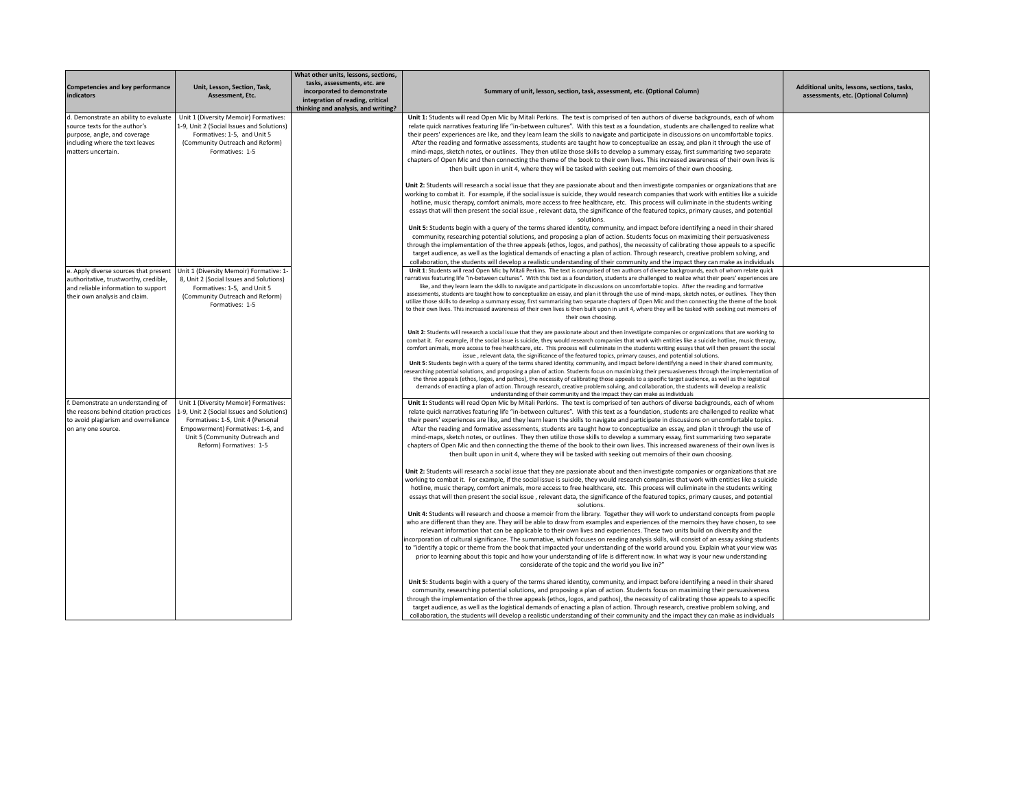| Competencies and key performance<br>indicators                                                                                                                  | Unit, Lesson, Section, Task,<br>Assessment. Etc.                                                                                                                                                                          | What other units, lessons, sections,<br>tasks, assessments, etc. are<br>incorporated to demonstrate<br>integration of reading, critical<br>thinking and analysis, and writing? | Summary of unit, lesson, section, task, assessment, etc. (Optional Column)                                                                                                                                                                                                                                                                                                                                                                                                                                                                                                                                                                                                                                                                                                                                                                                                                                                                                                                                                                                                                                                                                                                                                                                                                                                                                                                                                                      | Additional units, lessons, sections, tasks,<br>assessments, etc. (Optional Column) |
|-----------------------------------------------------------------------------------------------------------------------------------------------------------------|---------------------------------------------------------------------------------------------------------------------------------------------------------------------------------------------------------------------------|--------------------------------------------------------------------------------------------------------------------------------------------------------------------------------|-------------------------------------------------------------------------------------------------------------------------------------------------------------------------------------------------------------------------------------------------------------------------------------------------------------------------------------------------------------------------------------------------------------------------------------------------------------------------------------------------------------------------------------------------------------------------------------------------------------------------------------------------------------------------------------------------------------------------------------------------------------------------------------------------------------------------------------------------------------------------------------------------------------------------------------------------------------------------------------------------------------------------------------------------------------------------------------------------------------------------------------------------------------------------------------------------------------------------------------------------------------------------------------------------------------------------------------------------------------------------------------------------------------------------------------------------|------------------------------------------------------------------------------------|
| d. Demonstrate an ability to evaluate<br>source texts for the author's<br>purpose, angle, and coverage<br>including where the text leaves<br>matters uncertain. | Unit 1 (Diversity Memoir) Formatives:<br>1-9, Unit 2 (Social Issues and Solutions)<br>Formatives: 1-5, and Unit 5<br>(Community Outreach and Reform)<br>Formatives: 1-5                                                   |                                                                                                                                                                                | Unit 1: Students will read Open Mic by Mitali Perkins. The text is comprised of ten authors of diverse backgrounds, each of whom<br>relate quick narratives featuring life "in-between cultures". With this text as a foundation, students are challenged to realize what<br>their peers' experiences are like, and they learn learn the skills to navigate and participate in discussions on uncomfortable topics.<br>After the reading and formative assessments, students are taught how to conceptualize an essay, and plan it through the use of<br>mind-maps, sketch notes, or outlines. They then utilize those skills to develop a summary essay, first summarizing two separate<br>chapters of Open Mic and then connecting the theme of the book to their own lives. This increased awareness of their own lives is<br>then built upon in unit 4, where they will be tasked with seeking out memoirs of their own choosing.                                                                                                                                                                                                                                                                                                                                                                                                                                                                                                           |                                                                                    |
|                                                                                                                                                                 |                                                                                                                                                                                                                           |                                                                                                                                                                                | Unit 2: Students will research a social issue that they are passionate about and then investigate companies or organizations that are<br>working to combat it. For example, if the social issue is suicide, they would research companies that work with entities like a suicide<br>hotline, music therapy, comfort animals, more access to free healthcare, etc. This process will culiminate in the students writing<br>essays that will then present the social issue, relevant data, the significance of the featured topics, primary causes, and potential<br>solutions.                                                                                                                                                                                                                                                                                                                                                                                                                                                                                                                                                                                                                                                                                                                                                                                                                                                                   |                                                                                    |
|                                                                                                                                                                 |                                                                                                                                                                                                                           |                                                                                                                                                                                | Unit 5: Students begin with a query of the terms shared identity, community, and impact before identifying a need in their shared<br>community, researching potential solutions, and proposing a plan of action. Students focus on maximizing their persuasiveness<br>through the implementation of the three appeals (ethos, logos, and pathos), the necessity of calibrating those appeals to a specific<br>target audience, as well as the logistical demands of enacting a plan of action. Through research, creative problem solving, and<br>collaboration, the students will develop a realistic understanding of their community and the impact they can make as individuals                                                                                                                                                                                                                                                                                                                                                                                                                                                                                                                                                                                                                                                                                                                                                             |                                                                                    |
| e. Apply diverse sources that present<br>authoritative, trustworthy, credible,<br>and reliable information to support<br>their own analysis and claim.          | Unit 1 (Diversity Memoir) Formative: 1-<br>8, Unit 2 (Social Issues and Solutions)<br>Formatives: 1-5, and Unit 5<br>(Community Outreach and Reform)<br>Formatives: 1-5                                                   |                                                                                                                                                                                | Unit 1: Students will read Open Mic by Mitali Perkins. The text is comprised of ten authors of diverse backgrounds, each of whom relate quick<br>narratives featuring life "in-between cultures". With this text as a foundation, students are challenged to realize what their peers' experiences are<br>like, and they learn learn the skills to navigate and participate in discussions on uncomfortable topics. After the reading and formative<br>assessments, students are taught how to conceptualize an essay, and plan it through the use of mind-maps, sketch notes, or outlines. They then<br>utilize those skills to develop a summary essay, first summarizing two separate chapters of Open Mic and then connecting the theme of the book<br>to their own lives. This increased awareness of their own lives is then built upon in unit 4, where they will be tasked with seeking out memoirs of<br>their own choosing.                                                                                                                                                                                                                                                                                                                                                                                                                                                                                                           |                                                                                    |
|                                                                                                                                                                 |                                                                                                                                                                                                                           |                                                                                                                                                                                | Unit 2: Students will research a social issue that they are passionate about and then investigate companies or organizations that are working to<br>combat it. For example, if the social issue is suicide, they would research companies that work with entities like a suicide hotline, music therapy,<br>comfort animals, more access to free healthcare, etc. This process will culiminate in the students writing essays that will then present the social<br>issue, relevant data, the significance of the featured topics, primary causes, and potential solutions.<br>Unit 5: Students begin with a query of the terms shared identity, community, and impact before identifying a need in their shared community,<br>researching potential solutions, and proposing a plan of action. Students focus on maximizing their persuasiveness through the implementation of<br>the three appeals (ethos, logos, and pathos), the necessity of calibrating those appeals to a specific target audience, as well as the logistical<br>demands of enacting a plan of action. Through research, creative problem solving, and collaboration, the students will develop a realistic                                                                                                                                                                                                                                                               |                                                                                    |
| f. Demonstrate an understanding of<br>the reasons behind citation practices<br>to avoid plagiarism and overreliance<br>on any one source.                       | Unit 1 (Diversity Memoir) Formatives:<br>1-9, Unit 2 (Social Issues and Solutions)<br>Formatives: 1-5, Unit 4 (Personal<br>Empowerment) Formatives: 1-6, and<br>Unit 5 (Community Outreach and<br>Reform) Formatives: 1-5 |                                                                                                                                                                                | understanding of their community and the impact they can make as individuals<br>Unit 1: Students will read Open Mic by Mitali Perkins. The text is comprised of ten authors of diverse backgrounds, each of whom<br>relate quick narratives featuring life "in-between cultures". With this text as a foundation, students are challenged to realize what<br>their peers' experiences are like, and they learn learn the skills to navigate and participate in discussions on uncomfortable topics.<br>After the reading and formative assessments, students are taught how to conceptualize an essay, and plan it through the use of<br>mind-maps, sketch notes, or outlines. They then utilize those skills to develop a summary essay, first summarizing two separate<br>chapters of Open Mic and then connecting the theme of the book to their own lives. This increased awareness of their own lives is<br>then built upon in unit 4, where they will be tasked with seeking out memoirs of their own choosing.<br>Unit 2: Students will research a social issue that they are passionate about and then investigate companies or organizations that are<br>working to combat it. For example, if the social issue is suicide, they would research companies that work with entities like a suicide<br>hotline, music therapy, comfort animals, more access to free healthcare, etc. This process will culiminate in the students writing |                                                                                    |
|                                                                                                                                                                 |                                                                                                                                                                                                                           |                                                                                                                                                                                | essays that will then present the social issue, relevant data, the significance of the featured topics, primary causes, and potential<br>solutions.<br>Unit 4: Students will research and choose a memoir from the library. Together they will work to understand concepts from people<br>who are different than they are. They will be able to draw from examples and experiences of the memoirs they have chosen, to see<br>relevant information that can be applicable to their own lives and experiences. These two units build on diversity and the<br>incorporation of cultural significance. The summative, which focuses on reading analysis skills, will consist of an essay asking students<br>to "identify a topic or theme from the book that impacted your understanding of the world around you. Explain what your view was<br>prior to learning about this topic and how your understanding of life is different now. In what way is your new understanding<br>considerate of the topic and the world you live in?"                                                                                                                                                                                                                                                                                                                                                                                                              |                                                                                    |
|                                                                                                                                                                 |                                                                                                                                                                                                                           |                                                                                                                                                                                | Unit 5: Students begin with a query of the terms shared identity, community, and impact before identifying a need in their shared<br>community, researching potential solutions, and proposing a plan of action. Students focus on maximizing their persuasiveness<br>through the implementation of the three appeals (ethos, logos, and pathos), the necessity of calibrating those appeals to a specific<br>target audience, as well as the logistical demands of enacting a plan of action. Through research, creative problem solving, and<br>collaboration, the students will develop a realistic understanding of their community and the impact they can make as individuals                                                                                                                                                                                                                                                                                                                                                                                                                                                                                                                                                                                                                                                                                                                                                             |                                                                                    |